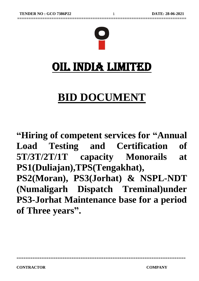

# OIL INDIA LIMITED

# **BID DOCUMENT**

**"Hiring of competent services for "Annual Load Testing and Certification of 5T/3T/2T/1T capacity Monorails at PS1(Duliajan),TPS(Tengakhat), PS2(Moran), PS3(Jorhat) & NSPL-NDT (Numaligarh Dispatch Treminal)under PS3-Jorhat Maintenance base for a period of Three years" .**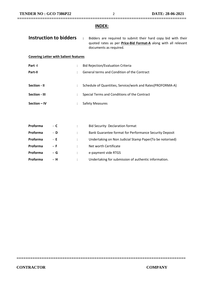### **INDEX:**

**==========================================================================**

| Instruction to bidders                        |                      | $\ddot{\phantom{a}}$<br>Bidders are required to submit their hard copy bid with their<br>quoted rates as per <b>Price-Bid Format-A</b> along with all relevant<br>documents as required. |
|-----------------------------------------------|----------------------|------------------------------------------------------------------------------------------------------------------------------------------------------------------------------------------|
| <b>Covering Letter with Salient features</b>  |                      |                                                                                                                                                                                          |
| Part -I                                       | ÷                    | <b>Bid Rejection/Evaluation Criteria</b>                                                                                                                                                 |
| Part-II                                       | ÷                    | General terms and Condition of the Contract                                                                                                                                              |
| Section - II<br>Section - III<br>Section - IV | $\ddot{\phantom{0}}$ | Schedule of Quantities, Service/work and Rates(PROFORMA-A)<br>Special Terms and Conditions of the Contract<br><b>Safety Measures</b>                                                     |
| Proforma<br>- C                               | ÷                    | <b>Bid Security Declaration format</b>                                                                                                                                                   |

| <b>Proforma</b> | - D | Bank Guarantee format for Performance Security Deposit   |
|-----------------|-----|----------------------------------------------------------|
| Proforma        | - E | Undertaking on Non Judicial Stamp Paper(To be notorised) |
| Proforma        | - F | Net worth Certificate                                    |
| Proforma        | - G | e-payment vide RTGS                                      |
| <b>Proforma</b> | - H | Undertaking for submission of authentic information.     |

| ۱a | - С | <b>Bid Security Decl</b> |
|----|-----|--------------------------|
| ۱a | - D | <b>Bank Guarantee f</b>  |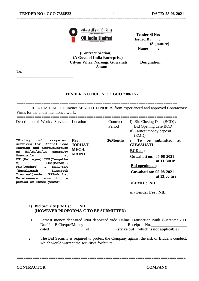**\_\_\_\_\_\_\_\_\_\_\_\_\_\_\_\_\_\_\_\_\_\_\_\_\_\_\_\_**

**\_\_\_\_\_\_\_\_\_\_\_\_\_\_\_\_\_\_\_\_\_\_\_\_**



| भारत सरकार का उद्यम )<br><b>Oil India Limited</b> | <b>Tender SI No:</b><br><b>Issued By</b> |
|---------------------------------------------------|------------------------------------------|
| (A Government of India Enterprise)                | (Signature)                              |
| $\sim$                                            | <b>Name</b>                              |

 **(Contract Section) (A Govt. of India Enterprise) Udyan Vihar, Narengi, Guwahati Designation: \_\_\_\_\_\_\_\_\_\_\_\_ Assam**

**==========================================================================**

**To,**

#### **TENDER NOTICE NO. : GCO 7386 P22**

======================================================================= OIL INDIA LIMITED invites SEALED TENDERS from experienced and approved Contractors/ Firms for the under mentioned work:

| Description of Work / Service. Location                                                                                                                                                                                                                                                                                                                           |                                                         | Contract<br>Period | i) Bid Closing Date (BCD) /<br>Bid Opening date (BOD).<br>ii) Earnest money deposit<br>(EMD).                                                                                                                                          |
|-------------------------------------------------------------------------------------------------------------------------------------------------------------------------------------------------------------------------------------------------------------------------------------------------------------------------------------------------------------------|---------------------------------------------------------|--------------------|----------------------------------------------------------------------------------------------------------------------------------------------------------------------------------------------------------------------------------------|
| <b>"Hiring</b><br>of<br>competent<br>services for "Annual Load<br>Testing and Certification<br>5T/3T/2T/1T<br>оf<br>capacity<br>at<br>Monorails<br>PS1 (Duliajan), TPS (Tengakha<br>$t)$ ,<br>PS2 (Moran),<br>$PS3(Jorhat)$ &<br><b>NSPL-NDT</b><br>(Numaligarh<br>Dispatch<br>Treminal) under PS3-Jorhat<br>Maintenance<br>base for a<br>period of Three years". | <b>PS3,</b><br><b>JORHAT,</b><br>MECH.<br><b>MAINT.</b> | 36Months           | To<br>be<br>submitted<br>i)<br>at<br><b>GUWAHATI</b><br><b>BCD</b> at :<br><b>Guwahati on: 05-08-2021</b><br>at 11:30Hr<br><b>Bid opening at:</b><br>Guwahati on: 05-08-2021<br>at $13:00$ hrs<br>ii)EMD : NIL<br>iii) Tender Fee: NIL |

#### **a) Bid Security (EMD) : NIL (HOWEVER PROFORMA-C TO BE SUBMITTED)**

- 1. Earnest money deposited /Not deposited vide Online Transaction/Bank Guarantee / D. Draft/ B.Cheque/Money Receipt No. dated\_\_\_\_\_\_\_\_\_\_\_\_\_\_\_\_\_\_ of**\_\_\_\_\_\_\_\_\_\_\_\_\_ (strike out which is not applicable).**
- 2 The Bid Security is required to protect the Company against the risk of Bidder's conduct, which would warrant the security's forfeiture.

**==========================================================================**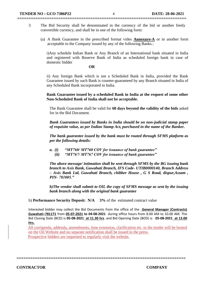3 The Bid Security shall be denominated in the currency of the bid or another freely convertible currency, and shall be in one of the following form:

**==========================================================================**

(a) A Bank Guarantee in the prescribed format vides **Annexure-A** or in another form acceptable to the Company issued by any of the following Banks.:

i)Any schedule Indian Bank or Any Branch of an International bank situated in India and registered with Reserve Bank of India as scheduled foreign bank in case of domestic bidder

#### **OR**

ii) Any foreign Bank which is not a Scheduled Bank in India, provided the Bank Guarantee issued by such Bank is counter-guaranteed by any Branch situated in India of any Scheduled Bank incorporated in India.

**Bank Guarantee issued by a scheduled Bank in India at the request of some other Non-Scheduled Bank of India shall not be acceptable.**

The Bank Guarantee shall be valid for **60 days beyond the validity of the bids** asked for in the Bid Document.

*Bank Guarantees issued by Banks in India should be on non-judicial stamp paper of requisite value, as per Indian Stamp Act, purchased in the name of the Banker.*

*The bank guarantee issued by the bank must be routed through SFMS platform as per the following details:*

- *a. (i) "MT760/ MT760 COV for issuance of bank guarantee"*
	- *(ii) "MT767/ MT767 COV for issuance of bank guarantee"*

*The above message/ intimation shall be sent through SFMS by the BG issuing bank branch to Axis Bank, Guwahati Branch, IFS Code- UTIB0000140, Branch Address – Axis Bank Ltd, Guwahati Branch, chibber House , G S Road, dispur,Assam , PIN- 781005."*

*b)The vendor shall submit to OIL the copy of SFMS message as sent by the issuing bank branch along with the original bank guarantee*

b) **Performance Security Deposit: N/A 3%** of the estimated contract value

Interested bidder may collect the Bid Documents from the office of the **General Manager (Contracts) Guwahati–781171** from **05-07-2021 to 04-08-2021** during office hours from 8.00 AM to 10.00 AM. The Bid Closing Date (BCD) is **05-08-2021 at 11.30 hrs**. and Bid Opening Date (BOD) is **05-08-2021 at 13.00 Hrs.**

 All corrigenda, addenda, amendments, time extension, clarification etc. to the tender will be hosted on the Oil Website and no separate notification shall be issued in the press. Prospective bidders are requested to regularly visit the website.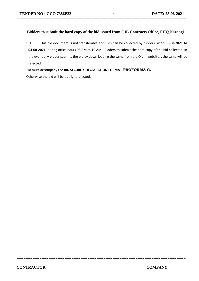.

#### **Bidders to submit the hard copy of the bid issued from OIL Contracts Office, PHQ,Narangi.**

**==========================================================================**

1.0 This bid document is not transferable and Bids can be collected by bidders w.e.f **05-08-2021 to 04-08-2021** (during office hours 08 AM to 10 AM). Bidders to submit the hard copy of the bid collected. In the event any bidder submits the bid by down loading the same from the OIL website, , the same will be rejected.

**==========================================================================**

Bid must accompany the **BID SECURITY DECLARATION FORMAT PROFORMA-C.** 

Otherwise the bid will be outright rejected.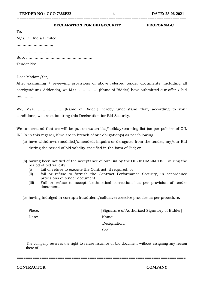## **==========================================================================**

#### **DECLARATION FOR BID SECURITY PROFORMA-C**

| To,                    |
|------------------------|
| M/s. Oil India Limited |
|                        |
|                        |
|                        |
|                        |

Dear Madam/Sir,

After examining / reviewing provisions of above referred tender documents (including all corrigendum/ Addenda), we M/s. …………… (Name of Bidder) have submitted our offer / bid no…………

We, M/s. ………………….(Name of Bidder) hereby understand that, according to your conditions, we are submitting this Declaration for Bid Security.

We understand that we will be put on watch list/holiday/banning list (as per policies of OIL INDIA in this regard), if we are in breach of our obligation(s) as per following:

- (a) have withdrawn/modified/amended, impairs or derogates from the tender, my/our Bid during the period of bid validity specified in the form of Bid; or
- (b) having been notified of the acceptance of our Bid by the OIL INDIALIMITED during the period of bid validity:
	- (i) fail or refuse to execute the Contract, if required, or
	- (ii) fail or refuse to furnish the Contract Performance Security, in accordance provisions of tender document.
	- (iii) Fail or refuse to accept 'arithmetical corrections' as per provision of tender document.
- (c) having indulged in corrupt/fraudulent/collusive/coercive practice as per procedure.

Place: [Signature of Authorized Signatory of Bidder] Date: Name: Designation: Seal: Seal: Seal: Seal: Seal: Seal: Seal: Seal: Seal: Seal: Seal: Seal: Seal: Seal: Seal: Seal: Seal: Seal: Seal: Seal: Seal: Seal: Seal: Seal: Seal: Seal: Seal: Seal: Seal: Seal: Seal: Seal: Seal: Seal: Seal: Seal: Seal:

The company reserves the right to refuse issuance of bid document without assigning any reason there of.

**==========================================================================**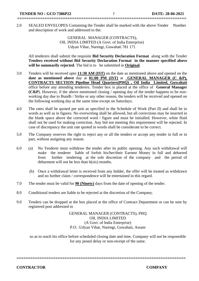2.0 SEALED ENVELOPES Containing the Tender shall be marked with the above Tender Number and description of work and addressed to the:

**==========================================================================**

GENERAL MANAGER (CONTRACTS), OIL INDIA LIMITED (A Govt. of India Enterprise) Udyan Vihar, Narengi, Guwahati 781 171

All tenderers shall submit the requisite **Bid Security Declaration Format** along with the Tender **Tenders received without Bid Security Declaration Format in the manner specified above will be summarily rejected**. The bid is to be submitted in **Original**.

- 3.0 Tenders will be received upto **11:30 AM (IST)** on the date as mentioned above and opened on the **date as mentioned above** day at **01:00 PM (IST)** at **GENERAL MANAGER (C &P), CONTRACTS SECTION Pipeline Head Quarters(PHQ) , Oil India Limited, Guwahati**  office before any attending tenderers. Tender box is placed at the office of **General Manager (C&P**). However, if the above mentioned closing / opening day of the tender happens to be nonworking day due to Bundh / Strike or any other reason, the tenders will be received and opened on the following working day at the same time except on Saturdays.
- 4.0 The rates shall be quoted per unit as specified in the Schedule of Work (Part II) and shall be in words as well as in figures. No overwriting shall be allowed, but all corrections may be inserted in the blank space above the corrected word / figure and must be initialled. However, white fluid shall not be used for making correction. Any bid not meeting this requirement will be rejected. In case of discrepancy the unit rate quoted in words shall be considerate to be correct.
- 5.0 The Company reserves the right to reject any or all the tenders or accept any tender in full or in part, without assigning any reason.
- 6.0 (a) No Tenderer must withdraw the tender after its public opening. Any such withdrawal will make the tenderer liable of forfeit his/her/their Earnest Money in full and debarred from further tendering at the sole discretion of the company and the period of debarment will not be less than 6(six) months.
	- (b) Once a withdrawal letter is received from any bidder, the offer will be treated as withdrawn and no further claim / correspondence will be entertained in this regard.
- 7.0 The tender must be valid for **90 (Ninety)** days from the date of opening of the tender.
- 8.0 Conditional tenders are liable to be rejected at the discretion of the Company.
- 9.0 Tenders can be dropped at the box placed at the office of Contract Department or can be sent by registered post addressed to

GENERAL MANAGER (CONTRACTS), PHQ OIL INDIA LIMITED (A Govt. of India Enterprise) P.O. :Udyan Vihar, Narengi, Guwahati, Assam

so as to reach his office before scheduled closing date and time. Company will not be responsible for any postal delay or non-receipt of the same.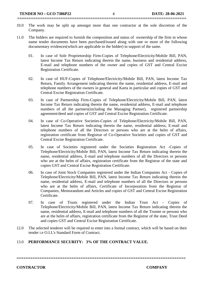10.0 The work may be split up amongst more than one contractor at the sole discretion of the Company.

**==========================================================================**

- 11.0 The bidders are required to furnish the composition and status of ownership of the firm in whose name tender documents have been purchased/issued along with one or more of the following documentary evidences(which are applicable to the bidder) in support of the same.
	- 01. In case of Sole Proprietorship Firm-Copies of Telephone/Electricity/Mobile Bill, PAN, latest Income Tax Return indicating therein the name, business and residential address, E-mail and telephone numbers of the owner and copies of GST and Central Excise Registration Certificate.
	- 02. In case of HUF-Copies of Telephone/Electricity/Mobile Bill, PAN, latest Income Tax Return, Family Arrangement indicating therein the name, residential address, E-mail and telephone numbers of the owners in general and Karta in particular and copies of GST and Central Excise Registration Certificate.
	- 03. In case of Partnership Firm-Copies of Telephone/Electricity/Mobile Bill, PAN, latest Income Tax Return indicating therein the name, residential address, E-mail and telephone numbers of all the partners(including the Managing Partner), registered partnership agreement/deed and copies of GST and Central Excise Registration Certificate.
	- 04. In case of Co-Operative Societies-Copies of Telephone/Electricity/Mobile Bill, PAN, latest Income Tax Return indicating therein the name, residential address, E-mail and telephone numbers of all the Directors or persons who are at the helm of affairs, registration certificate from Registrar of Co-Operative Societies and copies of GST and Central Excise Registration Certificate.
	- 05. In case of Societies registered under the Societies Registration Act -Copies of Telephone/Electricity/Mobile Bill, PAN, latest Income Tax Return indicating therein the name, residential address, E-mail and telephone numbers of all the Directors or persons who are at the helm of affairs, registration certificate from the Registrar of the state and copies GST and Central Excise Registration Certificate.
	- 06. In case of Joint Stock Companies registered under the Indian Companies Act Copies of Telephone/Electricity/Mobile Bill, PAN, latest Income Tax Return indicating therein the name, residential address, E-mail and telephone numbers of all the Directors or persons who are at the helm of affairs, Certificate of Incorporation from the Registrar of Companies, Memorandum and Articles and copies of GST and Central Excise Registration Certificate.
	- 07. In case of Trusts registered under the Indian Trust Act Copies of Telephone/Electricity/Mobile Bill, PAN, latest Income Tax Return indicating therein the name, residential address, E-mail and telephone numbers of all the Trustee or persons who are at the helm of affairs, registration certificate from the Registrar of the state, Trust Deed and copies GST and Central Excise Registration Certificate.
- 12.0 The selected tenderer will be required to enter into a formal contract, which will be based on their tender i.e O.I.L's Standard Form of Contract.

### 13.0 **PERFORMANCE SECURITY: 3% OF THE CONTRACT VALUE.**

**==========================================================================**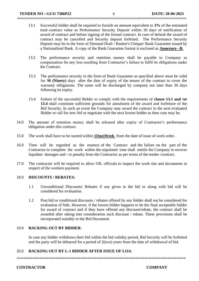13.1 Successful bidder shall be required to furnish an amount equivalent to **3%** of the estimated total contract value as Performance Security Deposit within 30 days of notification of award of contract and before signing of the formal contract. In case of default the award of contract may be cancelled and Security deposit forfeited. The Performance Security Deposit may be in the form of Demand Draft / Banker's Cheque/ Bank Guarantee issued by a Nationalized Bank. A copy of the Bank Guarantee format is enclosed as **Annexure –B.**

**==========================================================================**

- 13.2 The performance security and retention money shall be payable to Company as compensation for any loss resulting from Contractor's failure to fulfil its obligations under the Contract.
- 13.3 The performance security in the form of Bank Guarantee as specified above must be valid for 9**0 (Ninety)** days after the date of expiry of the tenure of the contract to cover the warranty obligations. The same will be discharged by company not later than 30 days following its expiry.
- 13.4 Failure of the successful Bidder to comply with the requirements of **clause 13.1 and /or 13.4** shall constitute sufficient grounds for annulment of the award and forfeiture of the Bid Security. In such an event the Company may award the contract to the next evaluated Bidder or call for new bid or negotiate with the next lowest bidder as then case may be.
- 14.0 The amount of retention money shall be released after expiry of Contractor's performance obligation under this contract.
- 15.0 The work shall have to be started within **1One)Week** from the date of issue of work order.
- 16.0 Time will be regarded as the essence of the Contract and the failure on the part of the Contractor to complete the work within the stipulated time shall entitle the Company to recover liquidate damages and / or penalty from the Contractor as per terms of the tender /contract.
- 17.0 The contractor will be required to allow OIL officials to inspect the work site and documents in respect of the workers payment.

#### 18.0 **DISCOUNTS / REBATES:**

- 1.1 Unconditional Discounts/ Rebates if any given in the bid or along with bid will be considered for evaluation.
- 1.2 Post bid or conditional discounts / rebates offered by any bidder shall not be considered for evaluation of bids. However, if the lowest bidder happens to be the final acceptable bidder for award of contract and if they have offered any discount/rebate, the contract shall be awarded after taking into consideration such discount / rebate. These provisions shall be incorporated suitably in the Bid Document.

#### 19.0 **BACKING OUT BY BIDDER**:

In case any bidder withdraws their bid within the bid validity period, Bid Security will be forfeited and the party will be debarred for a period of 2(two) years from the date of withdrawal of bid.

#### 20.0 **BACKING OUT BY L-1 BIDDER AFTER ISSUE OF LOA**: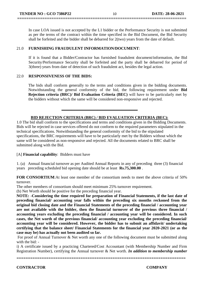In case LOA issued is not accepted by the L1 bidder or the Performance Security is not submitted as per the terms of the contract within the time specified in the Bid Document, the Bid Security shall be forfeited and the bidder shall be debarred for 2(two) years from the date of default.

**==========================================================================**

#### 21.0 **FURNISHING FRAUDULENT INFORMATION/DOCUMENT**:

If it is found that a Bidder/Contractor has furnished fraudulent document/information, the Bid Security/Performance Security shall be forfeited and the party shall be debarred for period of 3(three) years from date of detection of such fraudulent act, besides the legal action.

#### 22.0 **RESPONSIVENESS OF THE BIDS:**

The bids shall conform generally to the terms and conditions given in the bidding documents. Notwithstanding the general conformity of the bid, the following requirement under **Bid Rejection criteria (BRC)/ Bid Evaluation Criteria (BEC)** will have to be particularly met by the bidders without which the same will be considered non-responsive and rejected.

### **BID REJECTION CRITERIA (BRC) / BID EVALUATION CRITERIA (BEC):**

**\_\_\_\_\_\_\_\_\_\_\_\_\_\_\_\_\_\_\_\_\_\_\_\_\_\_\_\_\_\_\_\_\_\_\_\_\_\_**

1.0 The bid shall conform to the specifications and terms and conditions given in the Bidding Documents. Bids will be rejected in case services offered do not conform to the required parameters stipulated in the technical specifications. Notwithstanding the general conformity of the bid to the stipulated specifications, the BRC requirements will have to be particularly met by the Bidders without which the same will be considered as non-responsive and rejected. All the documents related to BRC shall be submitted along with the Bid.

#### [A] **Financial capability**: Bidders must have

1. (a) Annual financial turnover as per Audited Annual Reports in any of preceding three (3) financial years preceding scheduled bid opening date should be at least **Rs.75,300.00** .

**FOR CONSORTIUM:** At least one member of the consortium needs to meet the above criteria of 50% turnover.

The other members of consortium should meet minimum 25% turnover requirement.

(b) Net Worth should be positive for the preceding financial year.

**NOTE: -Considering the time required for preparation of Financial Statements, if the last date of preceding financial/ accounting year falls within the preceding six months reckoned from the original bid closing date and the Financial Statements of the preceding financial / accounting year are not available with the bidder, then the financial turnover of the previous three financial / accounting years excluding the preceding financial / accounting year will be considered. In such cases, the Net worth of the previous financial/ accounting year excluding the preceding financial/ accounting year will be considered. However, the bidder has to submit an affidavit/ undertaking certifying that the balance sheet/ Financial Statements for the financial year 2020-2021 (or as the case may be) has actually not been audited so far.**

For proof of Annual Turnover & Net worth any one of the following document must be submitted along with the bid: -

i) A certificate issued by a practicing Chartered/Cost Accountant (with Membership Number and Firm Registration Number), certifying the Annual turnover & Net worth. *In addition to membership number*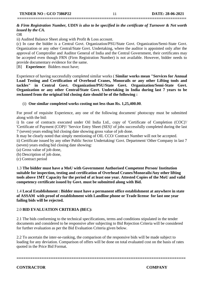## **==========================================================================**

### *& Firm Registration Number, UDIN is also to be specified in the certificate of Turnover & Net worth issued by the CA.*

OR

ii) Audited Balance Sheet along with Profit & Loss account.

(c) In case the bidder is a Central Govt. Organization/PSU/State Govt. Organization/Semi-State Govt. Organization or any other Central/State Govt. Undertaking, where the auditor is appointed only after the approval of Comptroller and Auditor General of India and the Central Government, their certificates may be accepted even though FRN (Firm Registration Number) is not available. However, bidder needs to provide documentary evidence for the same.

[B] **Experience**: Bidders must have;

Experience of having successfully completed similar works ( **Similar works mean "Services for Annual Load Testing and Certification of Overhead Cranes, Monorails or any other Lifting tools and tackles" in Central Govt. Organization/PSU/State Govt. Organization/Semi-State Govt. Organization or any other Central/State Govt. Undertaking in India during last 7 years to be reckoned from the original bid closing date should be of the following :**

(i) **One similar completed works costing not less than Rs. 1,25,400.00**.

For proof of requisite Experience, any one of the following document/ photocopy must be submitted along with the bid:

i) In case of contracts executed under Oil India Ltd., copy of 'Certificate of Completion (COC)'/ 'Certificate of Payment (COP)'/ 'Service Entry Sheet (SES)' of jobs successfully completed during the last 7 (seven) years ending bid closing date showing gross value of job done.

It may be clearly noted that simply mentioning of OIL CCO/ Contract Number will not be accepted.

ii) Certificate issued by any other Public Sector Undertaking/ Govt. Department/ Other Company in last 7 (seven) years ending bid closing date showing:

- (a) Gross value of job done,
- (b) Description of job done,
- (c) Contract period

1.3 **The bidder must have a MoU with Government Authorised Competent Person/ Institution suitable for inspection, testing and certification of Overhead Cranes/Monorails/Any other lifting tools above 1MT Capacity for the period of at least one year. Attested Copies of the MoU and valid competency certificate issued by Govt. must be submitted along with Bid.**

1.4 **Local Establishment : Bidder must have a permanent office establishment at anywhere in state of ASSAM with proof of establishment with Landline phone or Trade license for last one year failing bids will be rejected.**

#### 2.0 **BID EVALUATION CRITERIA (BEC):**

2.1 The bids conforming to the technical specifications, terms and conditions stipulated in the tender documents and considered to be responsive after subjecting to Bid Rejection Criteria will be considered for further evaluation as per the Bid Evaluation Criteria given below.

2.2 To ascertain the inter-se-ranking, the comparison of the responsive bids will be made subject to loading for any deviation. Comparison of offers will be done on total evaluated cost on the basis of rates quoted in the Price Bid Format.

**==========================================================================**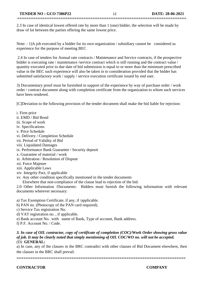2.3 In case of identical lowest offered rate by more than 1 (one) bidder, the selection will be made by draw of lot between the parties offering the same lowest price.

**==========================================================================**

Note:  $-1$ )A job executed by a bidder for its own organization / subsidiary cannot be considered as experience for the purpose of meeting BEC

2.4 In case of tenders for Annual rate contracts / Maintenance and Service contracts, if the prospective bidder is executing rate / maintenance /service contract which is still running and the contract value / quantity executed prior to due date of bid submission is equal to or more than the minimum prescribed value in the BEC such experience will also be taken in to consideration provided that the bidder has submitted satisfactory work / supply / service execution certificate issued by end user.

3) Documentary proof must be furnished in support of the experience by way of purchase order / work order / contract document along with completion certificate from the organization to whom such services have been rendered.

[C]Deviation to the following provision of the tender document shall make the bid liable for rejection:

- i. Firm price ii. EMD / Bid Bond iii. Scope of work iv. Specifications v. Price Schedule vi. Delivery / Completion Schedule vii. Period of Validity of Bid viii. Liquidated Damages ix. Performance Bank Guarantee / Security deposit x. Guarantee of material / work xi. Arbitration / Resolution of Dispute xii. Force Majeure xiii. Applicable Laws xiv. Integrity Pact, if applicable xv. Any other condition specifically mentioned in the tender documents Elsewhere that non-compliance of the clause lead to rejection of the bid. 2.0 Other Information /Documents: Bidders must furnish the following information with relevant documents wherever necessary:
- a) Tax Exemption Certificate, if any, if /applicable.
- b) PAN no. (Photocopy of the PAN card required).
- c) Service Tax registration No.
- d) VAT registration no. , if applicable.
- e) Bank account No. with name of Bank, Type of account, Bank address.
- f) P.F. Account No. / Code.

#### *3. In case of OIL contractor, copy of certificate of completion (COC)/Work Order showing gross value of job. It may be clearly noted that simply mentioning of OIL COC/WO no. will not be accepted.* (D) **GENERAL:**

a) In case, any of the clauses in the BRC contradict with other clauses of Bid Document elsewhere, then the clauses in the BRC shall prevail.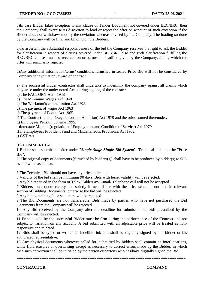#### **TENDER NO : GCO 7386P22** 13 **DATE: 28-06-2021**

b)In case Bidder takes exception to any clause of Tender Document not covered under BEC/BRC, then the Company shall exercise its discretion to load or reject the offer on account of such exception if the Bidder does not withdraw/ modify the deviation when/as advised by the Company. The loading so done by the Company will be final and binding on the Bidders.

**==========================================================================**

c)To ascertain the substantial responsiveness of the bid the Company reserves the right to ask the Bidder for clarification in respect of clauses covered under BEC/BRC also and such clarification fulfilling the BEC/BRC clauses must be received on or before the deadline given by the Company, failing which the offer will summarily rejected.

d)Any additional information/terms/ conditions furnished in sealed Price Bid will not be considered by Company for evaluation /award of contract.

e) The successful bidder /contractor shall undertake to indemnify the company against all claims which may arise under the under noted Acts during signing of the contract:

a) The FACTORY Act - 1948

b) The Minimum Wages Act 1948

c) The Workman's compensation Act 1923

d) The payment of wages Act 1963

e) The payment of Bonus Act 1965

f) The Contract Labour (Regulation and Abolition) Act 1970 and the rules framed thereunder.

g) Employees Pension Scheme 1995.

h)Interstate Migrant (regulation of Employment and Condition of Service) Act 1979

i)The Employees Provident Fund and Miscellaneous Provisions Act 1952

j) GST Act

#### (E) **COMMERCIA**L:

1 Bidder shall submit the offer under "*Single Stage Single Bid System*"- Technical bid" and the "Price Bid".

2. The original copy of documents [furnished by bidders(s)] shall have to be produced by bidder(s) to OIL as and when asked for.

3 The Technical Bid should not have any price indication.

5 Validity of the bid shall be minimum 90 days. Bids with lesser validity will be rejected.

6 Any bid received in the form of Telex/Cable/Fax/E-mail/ Telephone call will not be accepted.

7 Bidders must quote clearly and strictly in accordance with the price schedule outlined in relevant section of Bidding Documents; otherwise the bid will be rejected.

8 Any bid containing false statement will be rejected.

9 The Bid Documents are not transferable. Bids made by parties who have not purchased the Bid Documents from the Company will be rejected.

10 Any Bid received by the Company after the deadline for submission of bids prescribed by the Company will be rejected.

11 Price quoted by the successful Bidder must be firm during the performance of the Contract and not subject to variation on any account. A bid submitted with an adjustable price will be treated as nonresponsive and rejected.

12 Bids shall be typed or written in indelible ink and shall be digitally signed by the bidder or his authorized representative.

13 Any physical documents wherever called for, submitted by bidders shall contain no interlineations, white fluid erasures or overwriting except as necessary to correct errors made by the Bidder, in which case such correction shall be initialed by the person or persons who has/have digitally signed the Bid.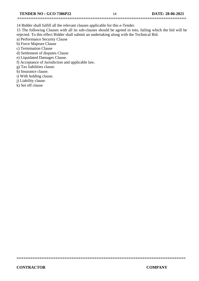14 Bidder shall fulfill all the relevant clauses applicable for this e-Tender.

15 The following Clauses with all its sub-clauses should be agreed in toto, failing which the bid will be rejected. To this effect Bidder shall submit an undertaking along with the Technical Bid.

**==========================================================================**

a) Performance Security Clause

b) Force Majeure Clause

c) Termination Clause

d) Settlement of disputes Clause

e) Liquidated Damages Clause.

f) Acceptance of Jurisdiction and applicable law.

g) Tax liabilities clause.

h) Insurance clause.

i) With holding clause.

j) Liability clause.

k) Set off clause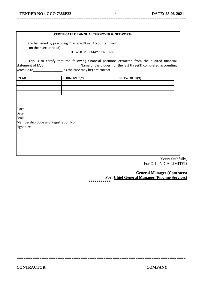## **==========================================================================**

#### **CERTIFICATE OF ANNUAL TURNOVER & NETWORTH**

 (To be issued by practicing Chartered/Cost Accountant Firm on their Letter Head)

#### TO WHOM IT MAY CONCERN

This is to certify that the following financial positions extracted from the audited financial statement of M/s\_\_\_\_\_\_\_\_\_\_\_\_\_\_\_\_\_\_\_\_\_(Name of the bidder) for the last three(3) completed accounting  $|$ years up to \_\_\_\_\_\_\_\_\_\_\_\_\_\_\_\_\_(as the case may be) are correct.

| <b>YEAR</b> | TURNOVER(₹) | NETWORTH(₹) |
|-------------|-------------|-------------|
|             |             |             |
|             |             |             |
|             |             |             |

Place:

Date:

Seal:

Membership Code and Registration No. Signature

> Yours faithfully, For OIL INDIA LIMITED

 **General Manager (Contracts) For: Chief General Manager (Pipeline Services)** 

**\*\*\*\*\*\*\*\*\*\*\***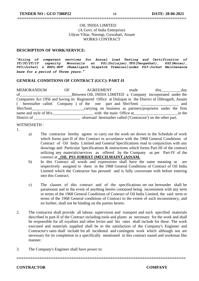#### OIL INDIA LIMITED (A Govt. of India Enterprise) Udyan Vihar, Narengi, Guwahati, Assam WORKS CONTRACT

**==========================================================================**

#### **DESCRIPTION OF WORK/SERVICE:**

"*Hiring of competent services for Annual Load Testing and Certification of 5T/3T/2T/1T capacity Monorails at PS1(Duliajan),TPS(Tengakhat), PS2(Moran), PS3(Jorhat) & NSPL-NDT (Numaligarh Dispatch Treminal)under PS3-Jorhat Maintenance base for a period of Three years***.***"*

#### **GENERAL CONDITIONS OF CONTRACT (GCC): PART-II**

MEMORANDUM OF AGREEMENT made this day of Between OIL INDIA LIMITED a Company incorporated under the Companies Act 1956 and having its Registered Office at Duliajan in the District of Dibrugarh, Assam hereinafter called Company ) of the one part and Shri/Smti \_\_\_\_\_\_\_\_\_\_\_\_\_\_\_ and Shri/Smti\_\_\_\_\_\_\_\_\_\_\_\_\_\_\_\_\_\_\_\_\_\_\_\_\_\_carrying on business as partners/proprietor under the firm name and style of M/s. The main Office at the main Office at the main of the main  $\sigma$ District of \_\_\_\_\_\_\_\_\_\_\_\_\_\_\_\_\_\_\_\_\_\_\_\_\_\_\_\_\_\_\_\_\_\_ aforesaid hereinafter called ('Contractor') on the other part.

#### WITNESSETH :

- 1.
- a) The contractor hereby agrees to carry out the work set drown in the Schedule of work which forms part-II of this Contract in accordance with the 1968 General Conditions of Contract of Oil India Limited and General Specifications read in conjunction with any drawings and Particular Specifications & instructions which forms Part-III of the contract utilizing any materials/services as offered by the Company as per Part-IV of the contract at **\_OIL PS3 JORHAT (MECH.MAINT.)ASSAM.**
- b) In this Contract all words and expressions shall have the same meaning as respectively assigned to them in the 1968 General Conditions of Contract of Oil India Limited which the Contractor has perused and is fully conversant with before entering into this Contract.
- c) The clauses of this contract and of the specifications set out hereunder shall be paramount and in the event of anything herein contained being inconsistent with any term or terms of the 1968 General Conditions of Contract of Oil India Limited, the said term or terms of the 1968 General conditions of Contract to the extent of such inconsistency, and no further, shall not be binding on the parties hereto.
- 2. The contractor shall provide all labour, supervision and transport and such specified materials described in part-II of the Contract including tools and plants as necessary for the work and shall be responsible for all royalties and other levies and his rates shall include for these. The work executed and materials supplied shall be to the satisfaction of the Company's Engineer and Contractor's rates shall include for all incidental and contingent work which although not are necessary for its completion in a specifically mentioned in this contract sound and workman like manner.

**==========================================================================**

3. The Company's Engineer shall have power to: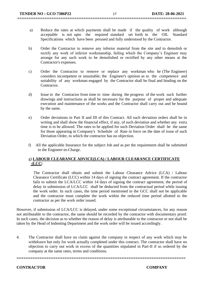a) Reduce the rates at which payments shall be made if the quality of work although acceptable is not upto the required standard set forth in the OIL Standard Specifications which have been perused and fully understood by the Contractor.

**==========================================================================**

- b) Order the Contractor to remove any inferior material from the site and to demolish or rectify any work of inferior workmanship, failing which the Company's Engineer may arrange for any such work to be demolished or rectified by any other means at the Contractor's expenses.
- c) Order the Contractor to remove or replace any workman who he (The Engineer) considers incompetent or unsuitable; the Engineer's opinion as to the competence and suitability of any workman engaged by the Contractor shall be final and binding on the Contractor.
- d) Issue to the Contractor from time to time during the progress of the work such further drawings and instructions as shall be necessary for the purpose of proper and adequate execution and maintenance of the works and the Contractor shall carry out and be bound by the same.
- e) Order deviations in Part II and III of this Contract. All such deviation orders shall be in writing and shall show the financial effect, if any, of such deviation and whether any extra time is to be allowed. The rates to be applied for such Deviation Order shall be the same for those appearing in Company's Schedule of Rate in force on the date of issue of such Deviation Order, to which the contractor has no objection.
- f)All the applicable Insurance for the subject Job and as per the requirement shall be submitted to the Engineer-in-Charge.

#### g) **LABOUR CLEARANCE ADVICE(LCA) / LABOUR CLEARANCE CERTIFICATE (LCC**)

 The Contractor shall obtain and submit the Labour Clearance Advice (LCA) / Labour Clearance Certificate (LCC) within 14 days of signing the contract agreement. If the contractor fails to submit the LCA/LCC within 14 days of signing the contract agreement, the period of delay in submission of LCA/LCC shall be deducted from the contractual period while issuing the work order. In such cases, the time period mentioned in the GCC shall not be applicable and the contractor must complete the work within the reduced time period allotted to the contractor as per the work order issued.

However, if submission of LCA/LCC is delayed, under some exceptional circumstances, for any reason not attributable to the contractor, the same should be recorded by the contractor with documentary proof. In such cases, the decision as to whether the reason of delay is attributable to the contractor or not shall be taken by the Head of Indenting Department and the work order will be issued accordingly.

4. The Contractor shall have no claim against the company in respect of any work which may be withdrawn but only for work actually completed under this contract. The contractor shall have no objection to carry out work in excess of the quantities stipulated in Part-II if so ordered by the company at the same rates, terms and conditions.

**==========================================================================**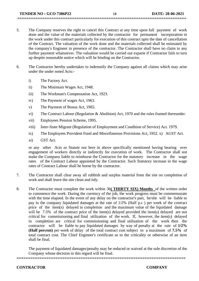5. The Company reserves the right to cancel this Contract at any time upon full payment of work done and the value of the materials collected by the contractor for permanent incorporation in the work under this contract particularly for execution of this contract upto the date of cancellation of the Contract. The valuation of the work done and the materials collected shall be estimated by the company's Engineer in presence of the contractor. The Contractor shall have no claim to any further payment whatsoever. The valuation would be carried out exparte if Contractor fails to turn up despite reasonable notice which will be binding on the Contractor.

**==========================================================================**

- 6. The Contractor hereby undertakes to indemnify the Company against all claims which may arise under the under noted Acts:
	- i) The Factory Act.
	- ii) The Minimum Wages Act, 1948.
	- iii) The Workman's Compensation Act, 1923.
	- iv) The Payment of wages Act, 1963.
	- v) The Payment of Bonus Act, 1965.
	- vi) The Contract Labour (Regulation & Abolition) Act, 1970 and the rules framed thereunder.
	- vii) Employees Pension Scheme, 1995.
	- viii) Inter-State Migrant (Regulation of Employment and Condition of Service) Act. 1979.
	- ix) The Employees Provident Fund and Miscellaneous Provisions Act, 1952. x) AGST Act.
	- xi) GST Act.

or any other Acts or Statute not here in above specifically mentioned having bearing over engagement of workers directly or indirectly for execution of work. The Contractor shall not make the Company liable to reimburse the Contractor for the statutory increase in the wage rates of the Contract Labour appointed by the Contractor. Such Statutory increase in the wage rates of Contract Labour shall be borne by the contractor.

- 7. The Contractor shall clear away all rubbish and surplus material from the site on completion of work and shall leave the site clean and tidy.
- 8. The Contractor must complete the work within 36**( THIRTY SIX) Months** of the written order to commence the work. During the currency of the job, the work progress must be commensurate with the time elapsed. In the event of any delay on the contractor's part, he/she will be liable to pay to the company liquidated damages at the rate of 1/2% (Half p.c ) per week of the contract price of the item(s) delayed in completion and the maximum value of the liquidated damage will be 7.5% of the contract price of the item(s) delayed provided the item(s) delayed are not critical for commissioning and final utilization of the work. If, however, the item(s) delayed in completion are critical for commissioning and final utilisation of the work then the contractor will be liable to pay liquidated damages by way of penalty at the rate of **1/2% (Half percent)** per week of delay of the total contract cost subject to a maximum of **7.5%** of total contract cost. The Chief Engineer's certificate as to the criticality or otherwise of an item shall be final.

The payment of liquidated damages/penalty may be reduced or waived at the sole discretion of the Company whose decision in this regard will be final.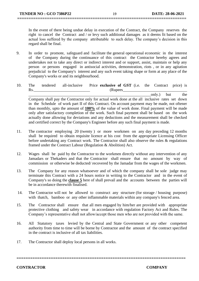In the event of there being undue delay in execution of the Contract, the Company reserves the right to cancel the Contract and / or levy such additional damages as it deems fit based on the actual loss suffered by the company attributable to such delay. The company's decision in this regard shall be final.

9. In order to promote, safeguard and facilitate the general operational economic in the interest of the Company during the continuance of this contract the Contractor hereby agrees and undertakes not to take any direct or indirect interest and or support, assist, maintain or help any person or persons engaged in antisocial activities, demonstration, riots , or in any agitation prejudicial to the Company's interest and any such event taking shape or form at any place of the Company's works or and its neighbourhood.

**==========================================================================**

10. The tendered all-inclusive Price **exclusive of GST** (i.e. the Contract price) is Rs. Contraction (Rupees

 $\text{only.}$  but the Company shall pay the Contractor only for actual work done at the all inclusive rates set down in the Schedule of work part II of this Contract. On account payment may be made, not oftener than monthly, upto the amount of **100%** of the value of work done. Final payment will be made only after satisfactory completion of the work. Such final payment shall be based on the work actually done allowing for deviations and any deductions and the measurement shall be checked and certified correct by the Company's Engineer before any such final payment is made.

- 11. The contractor employing 20 (twenty ) or more workmen on any day preceding 12 months shall be required to obtain requisite licence at his cost from the appropriate Licensing Officer before undertaking any Contract work. The Contractor shall also observe the rules & regulations framed under the Contract Labour (Regulation & Abolition) Act.
- 12. Wages shall be paid by the Contractor to the workmen directly without any intervention of any Jamadars or Thekaders and that the Contractor shall ensure that no amount by way of commission or otherwise be deducted/ recovered by the Jamadar from the wages of the workmen.
- 13. The Company for any reason whatsoever and of which the company shall be sole judge may terminate this Contract with a 24 hours notice in writing to the Contractor and in the event of Company's so doing the **clause 5** here of shall prevail and the accounts between the parties will be in accordance therewith finalised.
- 14. The Contractor will not be allowed to construct any structure (for storage / housing purpose) with thatch, bamboo or any other inflammable materials within any company's fenced area.
- 15. The Contractor shall ensure that all men engaged by him/her are provided with appropriate protective clothing and safety wear in accordance with regulation Factory Act and Rules. The Company's representative shall not allow/accept those men who are not provided with the same.
- 16. All Statutory taxes levied by the Central and State Government or any other competent authority from time to time will be borne by Contractor and the amount of the contract specified in the contract is inclusive of all tax liabilities.

**==========================================================================**

17. The Contractor shall deploy local persons in all works.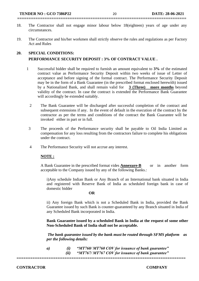- 18. The Contractor shall not engage minor labour below 18(eighteen) years of age under any circumstances.
- 19. The Contractor and his/her workmen shall strictly observe the rules and regulations as per Factory Act and Rules

#### **20. SPECIAL CONDITIONS:**

#### **PERFORMANCE SECURITY DEPOSIT : 3% OF CONTRACT VALUE .**

- 1 Successful bidder shall be required to furnish an amount equivalent to **3%** of the estimated contract value as Performance Security Deposit within two weeks of issue of Letter of acceptance and before signing of the formal contract. The Performance Security Deposit may be in the form of a Bank Guarantee (in the prescribed format enclosed herewith) issued by a Nationalized Bank, and shall remain valid for **3 (Three) more months** beyond validity of the contract. In case the contract is extended the Performance Bank Guarantee will accordingly be extended suitably.
	- 2 The Bank Guarantee will be discharged after successful completion of the contract and subsequent extensions if any. In the event of default in the execution of the contract by the contractor as per the terms and conditions of the contract the Bank Guarantee will be invoked either in part or in full.
- 3 The proceeds of the Performance security shall be payable to Oil India Limited as compensation for any loss resulting from the contractors failure to complete his obligations under the contract.
- 4 The Performance Security will not accrue any interest.

#### **NOTE :**

A Bank Guarantee in the prescribed format vides **Annexure-B** or in another form acceptable to the Company issued by any of the following Banks.:

i)Any schedule Indian Bank or Any Branch of an International bank situated in India and registered with Reserve Bank of India as scheduled foreign bank in case of domestic bidder

#### **OR**

ii) Any foreign Bank which is not a Scheduled Bank in India, provided the Bank Guarantee issued by such Bank is counter-guaranteed by any Branch situated in India of any Scheduled Bank incorporated in India.

**Bank Guarantee issued by a scheduled Bank in India at the request of some other Non-Scheduled Bank of India shall not be acceptable.**

*The bank guarantee issued by the bank must be routed through SFMS platform as per the following details:*

*a) (i) "MT760/ MT760 COV for issuance of bank guarantee" (ii) "MT767/ MT767 COV for issuance of bank guarantee"*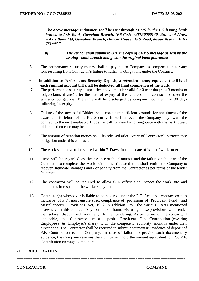*The above message/ intimation shall be sent through SFMS by the BG issuing bank branch to Axis Bank, Guwahati Branch, IFS Code- UTIB0000140, Branch Address – Axis Bank Ltd, Guwahati Branch, chibber House , G S Road, dispur,Assam , PIN-781005."*

- *b) The vendor shall submit to OIL the copy of SFMS message as sent by the issuing bank branch along with the original bank guarantee*
- 5 The performance security money shall be payable to Company as compensation for any loss resulting from Contractor's failure to fulfill its obligations under the Contract.
- 6 **In addition to Performance Security Deposit, a retention money equivalent to 5% of each running account bill shall be deducted till final completion of the work.**
- 7 The performance security as specified above must be valid for **3 months** (plus 3 months to lodge claim, if any) after the date of expiry of the tenure of the contract to cover the warranty obligations. The same will be discharged by company not later than 30 days following its expiry.
- 8 Failure of the successful Bidder shall constitute sufficient grounds for annulment of the award and forfeiture of the Bid Security. In such an event the Company may award the contract to the next evaluated Bidder or call for new bid or negotiate with the next lowest bidder as then case may be.
- 9 The amount of retention money shall be released after expiry of Contractor's performance obligation under this contract.
- 10 The work shall have to be started within **7 Days** from the date of issue of work order.
- 11 Time will be regarded as the essence of the Contract and the failure on the part of the Contractor to complete the work within the stipulated time shall entitle the Company to recover liquidate damages and / or penalty from the Contractor as per terms of the tender /contract.
- 12 The contractor will be required to allow OIL officials to inspect the work site and documents in respect of the workers payment.
- 13 Contractor(s) whosoever is liable to be covered under the P.F. Act and contract cost is inclusive of P.F., must ensure strict compliance of provisions of Provident Fund and Miscellaneous Provisions Act, 1952 in addition to the various Acts mentioned elsewhere in this contract. Any contractor found violating these provisions will render themselves disqualified from any future tendering. As per terms of the contract, if applicable, the Contractor must deposit Provident Fund Contribution (covering Employee's & Employer's share) with the competent authority monthly under their direct code. The Contractor shall be required to submit documentary evidence of deposit of P.F. Contribution to the Company. In case of failure to provide such documentary evidence, the Company reserves the right to withhold the amount equivalent to 12% P.F. Contribution on wage component.

#### 21. **ARBITRATION:**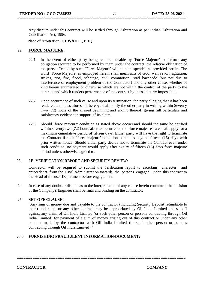Any dispute under this contract will be settled through Arbitration as per Indian Arbitration and Conciliation Act, 1996.

Place of Arbitration: **GUWAHTI, PHQ**.

#### 22. **FORCE MAJUERE:**

- 22.1 In the event of either party being rendered unable by `Force Majeure' to perform any obligation required to be performed by them under the contract, the relative obligation of the party affected by such `Force Majeure' will stand suspended as provided herein. The word `Force Majeure' as employed herein shall mean acts of God, war, revolt, agitation, strikes, riot, fire, flood, sabotage, civil commotion, road barricade (but not due to interference of employment problem of the Contractor) and any other cause, whether of kind herein enumerated or otherwise which are not within the control of the party to the contract and which renders performance of the contract by the said party impossible.
- 22.2 Upon occurrence of such cause and upon its termination, the party alleging that it has been rendered unable as aforesaid thereby, shall notify the other party in writing within Seventy Two (72) hours of the alleged beginning and ending thereof, giving full particulars and satisfactory evidence in support of its claim.
- 22.3 Should `force majeure' condition as stated above occurs and should the same be notified within seventy two (72) hours after its occurrence the 'force majeure' rate shall apply for a maximum cumulative period of fifteen days. Either party will have the right to terminate the Contract if such `force majeure' condition continues beyond fifteen (15) days with prior written notice. Should either party decide not to terminate the Contract even under such condition, no payment would apply after expiry of fifteen (15) days force majeure period unless otherwise agreed to.

#### 23. I.B. VERIFICATION REPORT AND SECURITY REVIEW:

Contractor will be required to submit the verification report to ascertain character and antecedents from the Civil Administration towards the persons engaged under this contract to the Head of the user Department before engagement.

24. In case of any doubt or dispute as to the interpretation of any clause herein contained, the decision of the Company's Engineer shall be final and binding on the contractor.

#### 25. **SET OFF CLAUSE:-**

"Any sum of money due and payable to the contractor (including Security Deposit refundable to them) under this or any other contract may be appropriated by Oil India Limited and set off against any claim of Oil India Limited (or such other person or persons contracting through Oil India Limited) for payment of a sum of money arising out of this contract or under any other contract made by the contractor with Oil India Limited (or such other person or persons contracting through Oil India Limited)."

#### 26.0 **FURNISHING FRAUDULENT INFORMATION/DOCUMENT:**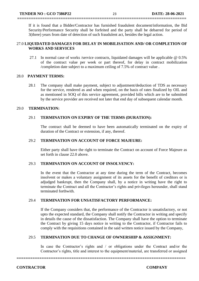If it is found that a Bidder/Contractor has furnished fraudulent document/information, the Bid Security/Performance Security shall be forfeited and the party shall be debarred for period of 3(three) years from date of detection of such fraudulent act, besides the legal action.

#### 27.0 **LIQUIDATED DAMAGES FOR DELAY IN MOBILISATION AND/ OR COMPLETION OF WORKS AND SERVICES**

**==========================================================================**

27.1 In normal case of works /service contracts, liquidated damages will be applicable @ 0.5% of the contract value per week or part thereof, for delay in contract mobilization /completion date subject to a maximum ceiling of 7.5% of contract value .

#### 28.0 **PAYMENT TERMS:**

28.1 The company shall make payment, subject to adjustment/deduction of TDS as necessary for the service, rendered as and when required, on the basis of rates finalized by OIL and as mentioned in SOQ of this service agreement, provided bills which are to be submitted by the service provider are received not later that end day of subsequent calendar month.

#### 29.0 **TERMINATION:**

#### 29.1 **TERMINATION ON EXPIRY OF THE TERMS (DURATION):**

The contract shall be deemed to have been automatically terminated on the expiry of duration of the Contract or extension, if any, thereof.

#### 29.2 **TERMINATION ON ACCOUNT OF FORCE MAJEURE:**

Either party shall have the right to terminate the Contract on account of Force Majeure as set forth in clause 22.0 above.

#### 29.3 **TERMINATION ON ACCOUNT OF INSOLVENCY:**

In the event that the Contractor at any time during the term of the Contract, becomes insolvent or makes a voluntary assignment of its assets for the benefit of creditors or is adjudged bankrupt, then the Company shall, by a notice in writing have the right to terminate the Contract and all the Contractor's rights and privileges hereunder, shall stand terminated forthwith.

#### 29.4 **TERMINATION FOR UNSATISFACTORY PERFORMANCE:**

If the Company considers that, the performance of the Contractor is unsatisfactory, or not upto the expected standard, the Company shall notify the Contractor in writing and specify in details the cause of the dissatisfaction. The Company shall have the option to terminate the Contract by giving 15 days notice in writing to the Contractor, if Contractor fails to comply with the requisitions contained in the said written notice issued by the Company,

#### 29.5 **TERMINATION DUE TO CHANGE OF OWNERSHIP & ASSIGNMENT:**

In case the Contractor's rights and / or obligations under the Contract and/or the Contractor's rights, title and interest to the equipment/material, are transferred or assigned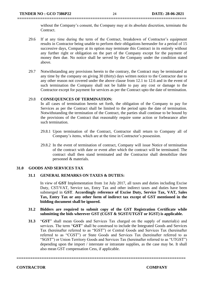without the Company's consent, the Company may at its absolute discretion, terminate the Contract.

- 29.6 If at any time during the term of the Contract, breakdown of Contractor's equipment results in Contractor being unable to perform their obligations hereunder for a period of 15 successive days, Company at its option may terminate this Contract in its entirely without any further right or obligation on the part of the Company except for the payment of money then due. No notice shall be served by the Company under the condition stated above.
- 29.7 Notwithstanding any provisions herein to the contrary, the Contract may be terminated at any time by the company on giving 30 (thirty) days written notice to the Contractor due to any other reason not covered under the above clause from 12.1 to 12.6 and in the event of such termination the Company shall not be liable to pay any cost or damage to the Contractor except for payment for services as per the Contract upto the date of termination.

#### 29.8 **CONSEQUENCES OF TERMINATION:**

In all cases of termination herein set forth, the obligation of the Company to pay for Services as per the Contract shall be limited to the period upto the date of termination. Notwithstanding the termination of the Contract, the parties shall continue to be bound by the provisions of the Contract that reasonably require some action or forbearance after such termination.

- 29.8.1 Upon termination of the Contract, Contractor shall return to Company all of Company's items, which are at the time in Contractor's possession.
- 29.8.2 In the event of termination of contract, Company will issue Notice of termination of the contract with date or event after which the contract will be terminated. The contract shall then stand terminated and the Contractor shall demobilize their personnel & materials.

#### **31.0 GOODS AND SERVICES TAX**

#### **31.1 GENERAL REMARKS ON TAXES & DUTIES:**

In view of **GST** Implementation from 1st July 2017, all taxes and duties including Excise Duty, CST/VAT, Service tax, Entry Tax and other indirect taxes and duties have been submerged in **GST**. **Accordingly reference of Excise Duty, Service Tax, VAT, Sales Tax, Entry Tax or any other form of indirect tax except of GST mentioned in the bidding document shall be ignored.** 

#### **31.2 Bidders are required to submit copy of the GST Registration Certificate while submitting the bids wherever GST (CGST & SGST/UTGST or IGST) is applicable.**

**31.3** "**GST**" shall mean Goods and Services Tax charged on the supply of material(s) and services. The term "**GST**" shall be construed to include the Integrated Goods and Services Tax (hereinafter referred to as "IGST") or Central Goods and Services Tax (hereinafter referred to as "CGST") or State Goods and Services Tax (hereinafter referred to as "SGST") or Union Territory Goods and Services Tax (hereinafter referred to as "UTGST") depending upon the import / interstate or intrastate supplies, as the case may be. It shall also mean GST compensation Cess, if applicable.

**==========================================================================**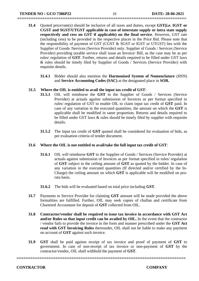**31.4** Quoted price/rate(s) should be inclusive of all taxes and duties, except **GST(i.e. IGST or CGST and SGST/UTGST applicable in case of interstate supply or intra state supply respectively and cess on GST if applicable) on the final service**. However, GST rate (including cess) to be provided in the respective places in the Price Bid. Please note that the responsibility of payment of GST (CGST & SGST or IGST or UTGST) lies with the Supplier of Goods /Services (Service Provider) only. Supplier of Goods / Services (Service Provider) providing taxable service shall issue an Invoice/ Bill, as the case may be as per rules/ regulation of **GST**. Further, returns and details required to be filled under GST laws & rules should be timely filed by Supplier of Goods / Services (Service Provider) with requisite details.

**==========================================================================**

**31.4.1** Bidder should also mention the **Harmonised System of Nomenclature** (HSN) and **Service Accounting Codes (SAC)** at the designated place in **SOR.**

#### **31.5 Where the OIL is entitled to avail the input tax credit of GST**:

- **31.5.1** OIL will reimburse the **GST** to the Supplier of Goods / Services (Service Provider) at actuals against submission of Invoices as per format specified in rules/ regulation of GST to enable OIL to claim input tax credit of **GST** paid. In case of any variation in the executed quantities, the amount on which the **GST** is applicable shall be modified in same proportion. Returns and details required to be filled under GST laws & rules should be timely filed by supplier with requisite details.
- **31.5.2** The input tax credit of **GST** quoted shall be considered for evaluation of bids, as per evaluation criteria of tender document.

#### **31.6 Where the OIL is not entitled to avail/take the full input tax credit of GST**:

- **31.6.1** OIL will reimburse **GST** to the Supplier of Goods / Services (Service Provider) at actuals against submission of Invoices as per format specified in rules/ regulation of **GST** subject to the ceiling amount of **GST** as quoted by the bidder. In case of any variation in the executed quantities (If directed and/or certified by the In-Charge) the ceiling amount on which **GST** is applicable will be modified on prorata basis.
- **31.6.2** The bids will be evaluated based on total price including **GST**.
- **31.7** Payments to Service Provider for claiming **GST** amount will be made provided the above formalities are fulfilled. Further, OIL may seek copies of challan and certificate from Chartered Accountant for deposit of **GST** collected from OIL.
- **31.8 Contractor/vendor shall be required to issue tax invoice in accordance with GST Act and/or Rules so that input credit can be availed by OIL.** In the event that the contractor / vendor fails to provide the invoice in the form and manner prescribed under the **GST Act read with GST Invoicing Rules** thereunder, OIL shall not be liable to make any payment on account of **GST** against such invoice.
- **31.9 GST** shall be paid against receipt of tax invoice and proof of payment of **GST** to government. In case of non-receipt of tax invoice or non-payment of **GST** by the contractor/vendor, OIL shall withhold the payment of **GST**.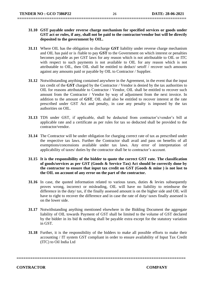- **31.10 GST payable under reverse charge mechanism for specified services or goods under GST act or rules, if any, shall not be paid to the contractor/vendor but will be directly deposited to the government by OIL.**
- **31.11** Where OIL has the obligation to discharge **GST** liability under reverse charge mechanism and OIL has paid or is /liable to pay **GST** to the Government on which interest or penalties becomes payable as per GST laws for any reason which is not attributable to OIL or ITC with respect to such payments is not available to OIL for any reason which is not attributable to OIL, then OIL shall be entitled to deduct/ setoff / recover such amounts against any amounts paid or payable by OIL to Contractor / Supplier.
- **31.12** Notwithstanding anything contained anywhere in the Agreement, in the event that the input tax credit of the **GST** charged by the Contractor / Vendor is denied by the tax authorities to OIL for reasons attributable to Contractor / Vendor, OIL shall be entitled to recover such amount from the Contractor / Vendor by way of adjustment from the next invoice. In addition to the amount of **GST**, OIL shall also be entitled to recover interest at the rate prescribed under GST Act and penalty, in case any penalty is imposed by the tax authorities on OIL.
- **31.13** TDS under GST, if applicable, shall be deducted from contractor's/vendor's bill at applicable rate and a certificate as per rules for tax so deducted shall be provided to the contractor/vendor.
- **31.14** The Contractor will be under obligation for charging correct rate of tax as prescribed under the respective tax laws. Further the Contractor shall avail and pass on benefits of all exemptions/concessions available under tax laws. Any error of interpretation of applicability of taxes/ duties by the contractor shall be to contractor's account.
- **31.15 It is the responsibility of the bidder to quote the correct GST rate. The classification of goods/services as per GST (Goods & Service Tax) Act should be correctly done by the contractor to ensure that input tax credit on GST (Goods & mine ) is not lost to the OIL on account of any error on the part of the contractor.**
- **31.16** In case, the quoted information related to various taxes, duties & levies subsequently proves wrong, incorrect or misleading, OIL will have no liability to reimburse the difference in the duty/ tax, if the finally assessed amount is on the higher side and OIL will have to right to recover the difference and in case the rate of duty/ taxes finally assessed is on the lower side.
- **31.17** Notwithstanding anything mentioned elsewhere in the Bidding Document the aggregate liability of OIL towards Payment of GST shall be limited to the volume of GST declared by the bidder in its bid & nothing shall be payable extra except for the statutory variation in GST.
- **31.18** Further, it is the responsibility of the bidders to make all possible efforts to make their accounting / IT system GST compliant in order to ensure availability of Input Tax Credit (ITC) to Oil India Ltd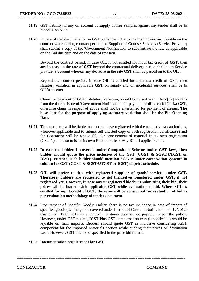- **31.19** GST liability, if any on account of supply of free samples against any tender shall be to bidder's account.
- **31.20** In case of statutory variation in **GST,** other than due to change in turnover, payable on the contract value during contract period, the Supplier of Goods / Services (Service Provider) shall submit a copy of the 'Government Notification' to substantiate the rate as applicable on the Bid due date and on the date of revision.

Beyond the contract period, in case OIL is not entitled for input tax credit of **GST**, then any increase in the rate of **GST** beyond the contractual delivery period shall be to Service provider's account whereas any decrease in the rate **GST** shall be passed on to the OIL.

Beyond the contract period, in case OIL is entitled for input tax credit of **GST**, then statutory variation in applicable **GST** on supply and on incidental services, shall be to OIL's account.

Claim for payment of **GST**/ Statutory variation, should be raised within two [02] months from the date of issue of 'Government Notification' for payment of differential (in %) **GST**, otherwise claim in respect of above shall not be entertained for payment of arrears. **The base date for the purpose of applying statutory variation shall be the Bid Opening Date.**

- **31.21** The contractor will be liable to ensure to have registered with the respective tax authorities, wherever applicable and to submit self-attested copy of such registration certificate(s) and the Contractor will be responsible for procurement of material in its own registration (GSTIN) and also to issue its own Road Permit/ E-way Bill, if applicable etc.
- **31.22 In case the bidder is covered under Composition Scheme under GST laws, then bidder should quote the price inclusive of the GST (CGST & SGST/UTGST or IGST). Further, such bidder should mention "Cover under composition system" in column for GST (CGST & SGST/UTGST or IGST) of price schedule.**
- **31.23 OIL will prefer to deal with registered supplier of goods/ services under GST. Therefore, bidders are requested to get themselves registered under GST, if not registered yet. However, in case any unregistered bidder is submitting their bid, their prices will be loaded with applicable GST while evaluation of bid. Where OIL is entitled for input credit of GST, the same will be considered for evaluation of bid as per evaluation methodology of tender document.**
- **31.24** Procurement of Specific Goods: Earlier, there is no tax incidence in case of import of specified goods (i.e. the goods covered under List-34 of Customs Notification no. 12/2012- Cus dated. 17.03.2012 as amended). Customs duty is not payable as per the policy. However, under GST regime, IGST Plus GST compensation cess (if applicable) would be leyiable on such imports. Bidders should quote GST as inclusive considering IGST component for the imported Materials portion while quoting their prices on destination basis. However, GST rate to be specified in the price bid format.

**==========================================================================**

#### **31.25 Documentation requirement for GST**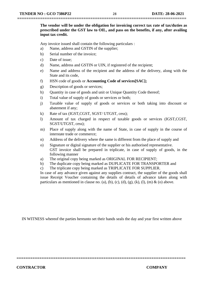**The vendor will be under the obligation for invoicing correct tax rate of tax/duties as prescribed under the GST law to OIL, and pass on the benefits, if any, after availing input tax credit.** 

Any invoice issued shall contain the following particulars :

- a) Name, address and GSTIN of the supplier;
- b) Serial number of the invoice;
- c) Date of issue;
- d) Name, address and GSTIN or UIN, if registered of the recipient;
- e) Name and address of the recipient and the address of the delivery, along with the State and its code,
- f) HSN code of goods or **Accounting Code of services[SAC];**
- g) Description of goods or services;
- h) Quantity in case of goods and unit or Unique Quantity Code thereof;
- i) Total value of supply of goods or services or both;
- j) Taxable value of supply of goods or services or both taking into discount or abatement if any;
- k) Rate of tax (IGST,CGST, SGST/ UTGST, cess);
- l) Amount of tax charged in respect of taxable goods or services (IGST,CGST, SGST/UTGST, cess);
- m) Place of supply along with the name of State, in case of supply in the course of interstate trade or commerce;
- n) Address of the delivery where the same is different from the place of supply and
- o) Signature or digital signature of the supplier or his authorised representative. GST invoice shall be prepared in triplicate, in case of supply of goods, in the following manner
- a) The original copy being marked as ORIGINAL FOR RECIPIENT;
- b) The duplicate copy being marked as DUPLICATE FOR TRANSPORTER and
- c) The triplicate copy being marked as TRIPLICATE FOR SUPPLIER.

In case of any advance given against any supplies contract, the supplier of the goods shall issue Receipt Voucher containing the details of details of advance taken along with particulars as mentioned in clause no. (a), (b), (c), (d), (g), (k), (l), (m) & (o) above.

IN WITNESS whereof the parties hereunto set their hands seals the day and year first written above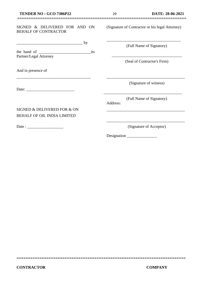#### SIGNED & DELIVERED FOR AND ON BEHALF OF CONTRACTOR

| the hand of            | its |
|------------------------|-----|
| Partner/Legal Attorney |     |

\_\_\_\_\_\_\_\_\_\_\_\_\_\_\_\_\_\_\_\_\_\_\_\_\_\_\_\_\_\_\_\_\_\_\_\_\_

 $\frac{1}{\sqrt{2\pi}}$  by

And in presence of

Date:

Date : \_\_\_\_\_\_\_\_\_\_\_\_\_\_\_\_\_\_

SIGNED & DELIVERED FOR & ON BEHALF OF OIL INDIA LIMITED

(Signature of Contractor or his legal Attorney)

\_\_\_\_\_\_\_\_\_\_\_\_\_\_\_\_\_\_\_\_\_\_\_\_\_\_\_\_\_\_\_\_\_\_\_\_\_

(Full Name of Signatory)

\_\_\_\_\_\_\_\_\_\_\_\_\_\_\_\_\_\_\_\_\_\_\_\_\_\_\_\_\_\_\_\_\_\_\_ (Seal of Contractor's Firm)

(Signature of witness)

\_\_\_\_\_\_\_\_\_\_\_\_\_\_\_\_\_\_\_\_\_\_\_\_\_\_\_\_\_\_\_\_\_\_\_\_\_\_\_

(Full Name of Signatory)

\_\_\_\_\_\_\_\_\_\_\_\_\_\_\_\_\_\_\_\_\_\_\_\_\_\_\_\_\_\_\_\_\_\_\_\_\_\_\_

Address:

**==========================================================================**

(Signature of Acceptor)

\_\_\_\_\_\_\_\_\_\_\_\_\_\_\_\_\_\_\_\_\_\_\_\_\_\_\_\_\_\_\_\_\_\_\_\_\_\_\_

\_\_\_\_\_\_\_\_\_\_\_\_\_\_\_\_\_\_\_\_\_\_\_\_\_\_\_\_\_\_\_\_\_\_\_\_\_\_\_

Designation \_\_\_\_\_\_\_\_\_\_\_\_\_\_\_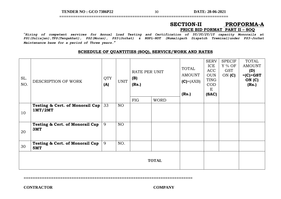**TENDER NO : GCO 7386P22** 30 **DATE: 28-06-2021**

**==========================================================================**

### **SECTION-II PROFORMA-A PRICE BID FORMAT PART II – SOQ**

"*Hiring of competent services for Annual Load Testing and Certification of 5T/3T/2T/1T capacity Monorails at PS1(Duliajan),TPS(Tengakhat), PS2(Moran), PS3(Jorhat) & NSPL-NDT (Numaligarh Dispatch Treminal)under PS3-Jorhat Maintenance base for a period of Three years***.***"*

#### **SCHEDULE OF QUANTITIES (SOQ), SERVICE/WORK AND RATES**

| SL.<br>NO. | DESCRIPTION OF WORK                               | <b>QTY</b><br>(A) | <b>UNIT</b>     | RATE PER UNIT<br>(B)<br>(Rs.) |             | <b>TOTAL</b><br><b>AMOUNT</b><br>$(C) = (AXB)$<br>(Rs.) | <b>SERV</b><br>ICE<br><b>ACC</b><br><b>OUN</b><br><b>TING</b><br><b>COD</b><br>E<br>(SAC) | <b>SPECIF</b><br>Y % OF<br><b>GST</b><br>ON $(C)$ | <b>TOTAL</b><br><b>AMOUNT</b><br>(D)<br>$=(C) + GST$<br>ON (C)<br>(Rs.) |
|------------|---------------------------------------------------|-------------------|-----------------|-------------------------------|-------------|---------------------------------------------------------|-------------------------------------------------------------------------------------------|---------------------------------------------------|-------------------------------------------------------------------------|
|            |                                                   |                   |                 | FIG                           | <b>WORD</b> |                                                         |                                                                                           |                                                   |                                                                         |
| 10         | Testing & Cert. of Monorail Cap<br>1MT/2MT        | 33                | NO <sub>1</sub> |                               |             |                                                         |                                                                                           |                                                   |                                                                         |
| 20         | <b>Testing &amp; Cert. of Monorail Cap</b><br>3MT | 9                 | NO <sub>1</sub> |                               |             |                                                         |                                                                                           |                                                   |                                                                         |
| 30         | <b>Testing &amp; Cert. of Monorail Cap</b><br>5MT | 9                 | NO.             |                               |             |                                                         |                                                                                           |                                                   |                                                                         |
|            | <b>TOTAL</b>                                      |                   |                 |                               |             |                                                         |                                                                                           |                                                   |                                                                         |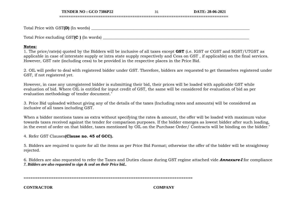**TENDER NO : GCO 7386P22** 31 **DATE: 28-06-2021**

Total Price with GST**(D)** (In words) \_\_\_\_\_\_\_\_\_\_\_\_\_\_\_\_\_\_\_\_\_\_\_\_\_\_\_\_\_\_\_\_\_\_\_\_\_\_\_\_\_\_\_\_\_\_\_\_\_\_\_\_\_\_\_\_\_\_\_\_\_\_\_\_\_\_\_\_\_\_\_\_\_\_\_\_\_\_\_

Total Price excluding GST**(C )** (In words) \_\_\_\_\_\_\_\_\_\_\_\_\_\_\_\_\_\_\_\_\_\_\_\_\_\_\_\_\_\_\_\_\_\_\_\_\_\_\_\_\_\_\_\_\_\_\_\_\_\_\_\_\_\_\_\_\_\_\_\_\_\_\_\_\_\_\_\_\_\_\_\_\_

#### **Notes:**

1. The price/rate(s) quoted by the Bidders will be inclusive of all taxes except **GST** (i.e. IGST or CGST and SGST/UTGST as applicable in case of interstate supply or intra state supply respectively and Cess on GST , if applicable) on the final services. However, GST rate (including cess) to be provided in the respective places in the Price Bid.

**==========================================================================**

2. OIL will prefer to deal with registered bidder under GST. Therefore, bidders are requested to get themselves registered under GST, if not registered yet.

However, in case any unregistered bidder is submitting their bid, their prices will be loaded with applicable GST while evaluation of bid. Where OIL is entitled for input credit of GST, the same will be considered for evaluation of bid as per evaluation methodology of tender document."

3. Price Bid uploaded without giving any of the details of the taxes (Including rates and amounts) will be considered as inclusive of all taxes including GST.

When a bidder mentions taxes as extra without specifying the rates & amount, the offer will be loaded with maximum value towards taxes received against the tender for comparison purposes. If the bidder emerges as lowest bidder after such loading, in the event of order on that bidder, taxes mentioned by OIL on the Purchase Order/ Contracts will be binding on the bidder."

4. Refer GST Clauses**(Clause no. 45 of GCC).**

5. Bidders are required to quote for all the items as per Price Bid Format; otherwise the offer of the bidder will be straightway rejected.

6. Bidders are also requested to refer the Taxes and Duties clause during GST regime attached vide *Annexure-I* for compliance *7. Bidders are also requested to sign & seal on their Price bid..*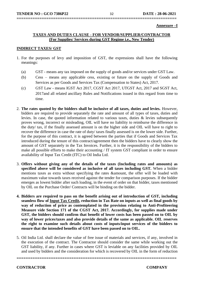**Annexure –I**

#### **TAXES AND DUTIES CLAUSE - FOR VENDOR/SUPPLIER/CONTRACTOR (For Supplies/ Services during GST Regime i.e., New Tender)**

**======================================================================**

#### **INDIRECT TAXES/ GST**

- 1. For the purposes of levy and imposition of GST, the expressions shall have the following meanings:
	- (a) GST means any tax imposed on the supply of goods and/or services under GST Law.
	- (b) Cess means any applicable cess, existing or future on the supply of Goods and Services as per Goods and Services Tax (Compensation to States) Act, 2017.
	- (c) GST Law means IGST Act 2017, CGST Act 2017, UTGST Act, 2017 and SGST Act, 2017and all related ancillary Rules and Notifications issued in this regard from time to time.
- 2. **The rates quoted by the bidders shall be inclusive of all taxes, duties and levies.** However, bidders are required to provide separately the rate and amount of all types of taxes, duties and levies. In case, the quoted information related to various taxes, duties & levies subsequently proves wrong, incorrect or misleading, OIL will have no liability to reimburse the difference in the duty/ tax, if the finally assessed amount is on the higher side and OIL will have to right to recover the difference in case the rate of duty/ taxes finally assessed is on the lower side. Further, for the purpose of this contract, it is agreed between the parties that if Goods and Services Tax introduced during the tenure of this contract/agreement then the bidders have to clearly show the amount of GST separately in the Tax Invoices. Further, it is the responsibility of the bidders to make all possible efforts to make their accounting / IT system GST compliant in order to ensure availability of Input Tax Credit (ITC) to Oil India Ltd.
- 3. **Offers without giving any of the details of the taxes (Including rates and amounts) as specified above will be considered as inclusive of all taxes including GST.** When a bidder mentions taxes as extra without specifying the rates &amount, the offer will be loaded with maximum value towards taxes received against the tender for comparison purposes. If the bidder emerges as lowest bidder after such loading, in the event of order on that bidder, taxes mentioned by OIL on the Purchase Order/ Contracts will be binding on the bidder.
- **4. Bidders are required to pass on the benefit arising out of introduction of GST, including seamless flow of Input Tax Credit, reduction in Tax Rate on inputs as well as final goods by way of reduction of price as contemplated in the provision relating to Anti-Profiteering Measure vide Section 171 of the CGST Act, 2017. Accordingly, for supplies made under GST, the bidders should confirm that benefit of lower costs has been passed on to OIL by way of lower prices/taxes and also provide details of the same as applicable. OIL reserves the right to examine such details about costs of inputs/input services of the bidders to ensure that the intended benefits of GST have been passed on to OIL.**
- 5. Oil India Ltd. shall declare the value of free issue of materials and services, if any, involved in the execution of the contract. The Contractor should consider the same while working out the GST liability, if any. Further in cases where GST is leviable on any facilities provided by OIL and used by bidders and the consideration for which is recovered by OIL in the form of reduction

**======================================================================**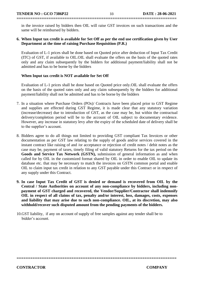in the invoice raised by bidders then OIL will raise GST invoices on such transactions and the same will be reimbursed by bidders.

**======================================================================**

#### **6. When Input tax credit is available for Set Off as per the end use certification given by User Department at the time of raising Purchase Requisition (P.R.)**

Evaluation of L-1 prices shall be done based on Quoted price after deduction of Input Tax Credit (ITC) of GST, if available to OIL.OIL shall evaluate the offers on the basis of the quoted rates only and any claim subsequently by the bidders for additional payment/liability shall not be admitted and has to be borne by the bidders

#### **When Input tax credit is NOT available for Set Off**

Evaluation of L-1 prices shall be done based on Quoted price only.OIL shall evaluate the offers on the basis of the quoted rates only and any claim subsequently by the bidders for additional payment/liability shall not be admitted and has to be borne by the bidders

- 7. In a situation where Purchase Orders (POs)/ Contracts have been placed prior to GST Regime and supplies are effected during GST Regime, it is made clear that any statutory variation (increase/decrease) due to introduction of GST, as the case may be, but within the contractual delivery/completion period will be to the account of OIL subject to documentary evidence. However, any increase in statutory levy after the expiry of the scheduled date of delivery shall be to the supplier's account.
- 8. Bidders agree to do all things not limited to providing GST compliant Tax Invoices or other documentation as per GST law relating to the supply of goods and/or services covered in the instant contract like raising of and /or acceptance or rejection of credit notes / debit notes as the case may be, payment of taxes, timely filing of valid statutory Returns for the tax period on the **Goods and Service Tax Network (GSTN),** submission of general information as and when called for by OIL in the customized format shared by OIL in order to enable OIL to update its database etc. that may be necessary to match the invoices on GSTN common portal and enable OIL to claim input tax credit in relation to any GST payable under this Contract or in respect of any supply under this Contract.
- **9. In case Input Tax Credit of GST is denied or demand is recovered from OIL by the Central / State Authorities on account of any non-compliance by bidders, including nonpayment of GST charged and recovered, the Vendor/Supplier/Contractor shall indemnify OIL in respect of all claims of tax, penalty and/or interest, loss, damages, costs, expenses and liability that may arise due to such non-compliance. OIL, at its discretion, may also withhold/recover such disputed amount from the pending payments of the bidders.**

**======================================================================** 

10.GST liability, if any on account of supply of free samples against any tender shall be to bidder's account.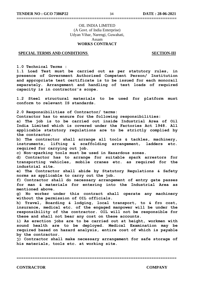#### OIL INDIA LIMITED (A Govt. of India Enterprise) Udyan Vihar, Narengi, Guwahati, Assam **WORKS CONTRACT**

**======================================================================**

#### **SPECIAL TERMS AND CONDITIONS** SECTION-III

**1.0 Technical Terms :**

**1.1 Load Test must be carried out as per statutory rules, in presence of Government Authorised Competent Person/ Institution and appropriate test certificate is to be issued for each monorail separately. Arrangement and handling of test loads of required capacity is in contractor's scope.**

**1.2 Steel structural materials to be used for platform must conform to relevant IS standards.**

**2.0 Responsibilities of Contractor/ terms:**

**Contractor has to ensure for the following responsibilities:**

**a) The job is to be carried out inside Industrial Area of Oil India Limited which is covered under the Factories Act 1948. All applicable statutory regulations are to be strictly complied by the contractor.**

**b) The contractor shall arrange all tools & tackles, machinery, instruments, lifting & scaffolding arrangement, ladders etc. required for carrying out job.**

**c) Non-sparking tools must be used in Hazardous zones.**

**d) Contractor has to arrange for suitable spark arrestors for transporting vehicles, mobile cranes etc. as required for the industrial site.**

**e) The Contractor shall abide by Statutory Regulations & Safety norms as applicable to carry out the job.**

**f) Contractor shall do necessary arrangement of entry gate passes for man & materials for entering into the Industrial Area as mentioned above.**

**g) No worker under this contract shall operate any machinery without the permission of OIL officials.**

**h) Travel, Boarding & lodging, local transport, to & fro cost, insurance, medical etc. of the engaged manpower will be under the responsibility of the contractor. OIL will not be responsible for these and shall not bear any cost on these accounts.**

**i) As erection jobs are to be carried out at height, workmen with sound health are to be deployed. Medical Examination may be required based on hazard analysis, entire cost of which is payable by the contractor.**

**j) Contractor shall make necessary arrangement for safe storage of his materials, tools etc. at working site.**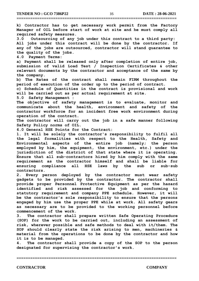**TENDER NO : GCO 7386P22** 35 **DATE : 28-06-2021**

**======================================================================**

**k) Contractor has to get necessary work permit from the Factory Manager of OIL before start of work at site and he must comply all required safety measures. 3.0 Outsourcing of any job under this contract to a third party: All jobs under this contract will be done by the contractor. If any of the jobs are outsourced, contractor will stand guarantee to the quality of the jobs. 4.0 Payment Terms: a) Payment shall be released only after completion of entire job, submission of valid Load Test / Inspection Certificates & other relevant documents by the contractor and acceptance of the same by the company. b) The Rates of the contract shall remain FIRM throughout the period of execution of the order up to the period of contract. c) Schedule of Quantities in the contract is provisional and work will be carried out as per actual requirement at site. 5.0 Safety Management : The objective of safety management is to evaluate, monitor and communicate about the health, environment and safety of the contractor workforce for an incident free work environment during operation of the contract. The contractor will carry out the job in a safe manner following Safety Policy norms of OIL. 6.0 General HSE Points for the Contract: 1. It will be solely the contractor's responsibility to fulfil all the legal formalities with respect to the Health, Safety and Environmental aspects of the entire job (namely; the person employed by him, the equipment, the environment, etc.) under the jurisdiction of the district of that state where it is operating. Ensure that all sub-contractors hired by him comply with the same requirement as the contractor himself and shall be liable for ensuring compliance all HSE laws by the sub or sub-sub contractors. 2. Every person deployed by the contractor must wear safety gadgets to be provided by the contractor. The contractor shall provide proper Personnel Protective Equipment as per the hazard identified and risk assessed for the job and conforming to statutory requirement and company PPE schedule. However, it will be the contractor's sole responsibility to ensure that the persons engaged by him use the proper PPE while at work. All safety gears as necessary are to be provided to the working personnel before commencement of the work.**

**3. The contractor shall prepare written Safe Operating Procedure (SOP) for the work to be carried out, including an assessment of risk, wherever possible and safe methods to deal with it/them. The SOP should clearly state the risk arising to men, machineries & material from the operations to be done by the contractor and how it is to be managed.**

**4. The contractor shall provide a copy of the SOP to the person designated for supervising the contractor's work.**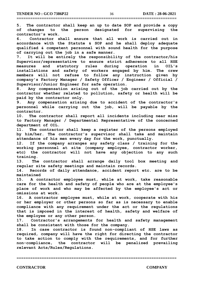**5. The contractor shall keep an up to date SOP and provide a copy of changes to the person designated for supervising the contractor's work.**

**======================================================================**

**6. Contractor shall ensure that all work is carried out in accordance with the Statute & SOP and he shall deploy adequate qualified & competent personnel with sound health for the purpose of carrying out the job in a safe manner.**

**7. It will be entirely the responsibility of the contractor/his Supervisor/representative to ensure strict adherence to all HSE measures and statutory rules during operation in OIL's installations and safety of workers engaged by him. The crew members will not refuse to follow any instruction given by company's Factory Manager / Safety Officer / Engineer / Official / Supervisor/Junior Engineer for safe operation.**

**8. Any compensation arising out of the job carried out by the contractor whether related to pollution, safety or health will be paid by the contractor only.**

**9. Any compensation arising due to accident of the contractor's personnel while carrying out the job, will be payable by the contractor.**

**10. The contractor shall report all incidents including near miss to Factory Manager / Departmental Representative of the concerned department of OIL.**

**11. The contractor shall keep a register of the persons employed by him/her. The contractor's supervisor shall take and maintain attendance of his men every day for the work, punctually.**

**12. If the company arranges any safety class / training for the working personnel at site (company employee, contractor worker, etc) the contractor will not have any objection to any such training.**

**13. The contractor shall arrange daily tool box meeting and regular site safety meetings and maintain records.**

**14. Records of daily attendance, accident report etc. are to be maintained**

**15. A contractor employee must, while at work, take reasonable care for the health and safety of people who are at the employee's place of work and who may be affected by the employee's act or omissions at work.**

**16. A contractor employee must, while at work, cooperate with his or her employer or other persons so far as is necessary to enable compliance with any requirement under the act or the regulations that is imposed in the interest of health, safety and welfare of the employee or any other person.**

**17. Contractor's arrangements for health and safety management shall be consistent with those for the company.**

**18. In case contractor is found non-compliant of HSE laws as required, company will have the right for directing the contractor to take action to comply with the requirements, and for further non-compliance, the contractor will be penalized prevailing relevant Acts/Rules/Regulations.**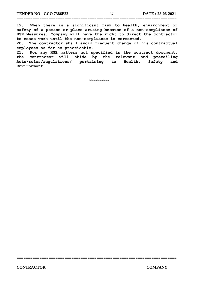**19. When there is a significant risk to health, environment or safety of a person or place arising because of a non-compliance of HSE Measures, Company will have the right to direct the contractor to cease work until the non-compliance is corrected.**

**======================================================================**

**20. The contractor shall avoid frequent change of his contractual employees as far as practicable.**

**21. For any HSE matters not specified in the contract document, the contractor will abide by the relevant and prevailing Acts/rules/regulations/ pertaining to Health, Safety and Environment.**

> \_\_\_\_\_\_\_\_\_\_ \*\*\*\*\*\*\*\*\*\*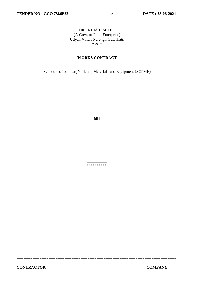#### OIL INDIA LIMITED (A Govt. of India Enterprise) Udyan Vihar, Narengi, Guwahati, Assam

**======================================================================**

#### **WORKS CONTRACT**

Schedule of company's Plants, Materials and Equipment (SCPME)

\_\_\_\_\_\_\_\_\_\_\_\_\_\_\_\_\_\_\_\_\_\_\_\_\_\_\_\_\_\_\_\_\_\_\_\_\_\_\_\_\_\_\_\_\_\_\_\_\_\_\_\_\_\_\_\_\_\_\_\_\_\_\_\_\_\_\_\_\_\_\_\_\_\_\_\_\_\_\_\_

**NIL**

 $\overline{\phantom{a}}$ \*\*\*\*\*\*\*\*\*\*

**======================================================================**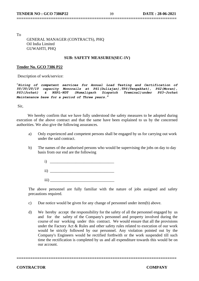To

 GENERAL MANAGER (CONTRACTS), PHQ Oil India Limited GUWAHTI, PHQ

#### **SUB: SAFETY MEASURES(SEC-1V)**

**======================================================================**

#### **Tender No. GCO 7386 P22**

Description of work/service:

"*Hiring of competent services for Annual Load Testing and Certification of 5T/3T/2T/1T capacity Monorails at PS1(Duliajan),TPS(Tengakhat), PS2(Moran), PS3(Jorhat) & NSPL-NDT (Numaligarh Dispatch Treminal)under PS3-Jorhat Maintenance base for a period of Three years***.***"*

Sir,

 We hereby confirm that we have fully understood the safety measures to be adopted during execution of the above contract and that the same have been explained to us by the concerned authorities. We also give the following assurances.

- a) Only experienced and competent persons shall be engaged by us for carrying out work under the said contract.
- b) The names of the authorised persons who would be supervising the jobs on day to day basis from our end are the following

 i) \_\_\_\_\_\_\_\_\_\_\_\_\_\_\_\_\_\_\_\_\_\_\_\_\_\_\_\_\_\_\_\_  $ii)$  $\overline{\text{iii}}$ )

The above personnel are fully familiar with the nature of jobs assigned and safety precautions required.

- c) Due notice would be given for any change of personnel under item(b) above.
- d) We hereby accept the responsibility for the safety of all the personnel engaged by us and for the safety of the Company's personnel and property involved during the course of our working under this contract. We would ensure that all the provisions under the Factory Act & Rules and other safety rules related to execution of our work would be strictly followed by our personnel. Any violation pointed out by the Company's Engineers would be rectified forthwith or the work suspended till such time the rectification is completed by us and all expenditure towards this would be on our account.

**======================================================================**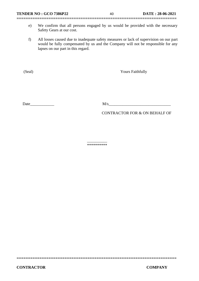**======================================================================**

- e) We confirm that all persons engaged by us would be provided with the necessary Safety Gears at our cost.
- f) All losses caused due to inadequate safety measures or lack of supervision on our part would be fully compensated by us and the Company will not be responsible for any lapses on our part in this regard.

(Seal) Yours Faithfully

Date\_\_\_\_\_\_\_\_\_\_\_\_ M/s\_\_\_\_\_\_\_\_\_\_\_\_\_\_\_\_\_\_\_\_\_\_\_\_\_\_\_\_\_\_\_

CONTRACTOR FOR & ON BEHALF OF

\_\_\_\_\_\_\_\_\_\_ \*\*\*\*\*\*\*\*\*\*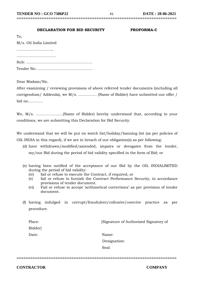#### **DECLARATION FOR BID SECURITY PROFORMA-C**

| .                      |
|------------------------|
| M/s. Oil India Limited |
|                        |
|                        |
|                        |
|                        |

Dear Madam/Sir,

 $T<sub>0</sub>$ 

After examining / reviewing provisions of above referred tender documents (including all corrigendum/ Addenda), we M/s. …………… (Name of Bidder) have submitted our offer / bid no…………

**======================================================================**

We, M/s. ………………….(Name of Bidder) hereby understand that, according to your conditions, we are submitting this Declaration for Bid Security.

We understand that we will be put on watch list/holiday/banning list (as per policies of OIL INDIA in this regard), if we are in breach of our obligation(s) as per following:

- (d) have withdrawn/modified/amended, impairs or derogates from the tender, my/our Bid during the period of bid validity specified in the form of Bid; or
- (e) having been notified of the acceptance of our Bid by the OIL INDIALIMITED during the period of bid validity:
	- (iv) fail or refuse to execute the Contract, if required, or
	- (v) fail or refuse to furnish the Contract Performance Security, in accordance provisions of tender document.
	- (vi) Fail or refuse to accept 'arithmetical corrections' as per provision of tender document.
- (f) having indulged in corrupt/fraudulent/collusive/coercive practice as per procedure.

| Place: | [Signature of Authorized Signatory of |  |
|--------|---------------------------------------|--|
| Bidder |                                       |  |
| Date:  | Name:                                 |  |
|        | Designation:                          |  |
|        | Seal:                                 |  |
|        |                                       |  |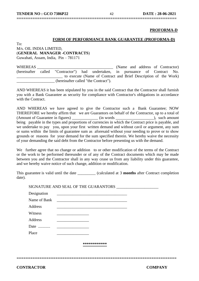#### **PROFORMA-D**

#### **FORM OF PERFORMANCE BANK GUARANTEE (PROFORMA-D)**

To: M/s. OIL INDIA LIMITED, (**GENERAL MANAGER -CONTRACTS**)

Guwahati, Assam, India, Pin – 781171

WHEREAS WHEREAS (Name and address of Contractor) (hereinafter called "Contractor") had undertaken, in pursuance of Contract No. \_\_\_\_\_\_\_\_\_\_\_\_\_\_\_\_\_\_\_\_\_\_\_ to execute (Name of Contract and Brief Description of the Work) \_\_\_\_\_\_\_\_\_\_\_\_\_\_\_\_\_\_\_ (hereinafter called "the Contract").

**======================================================================**

AND WHEREAS it has been stipulated by you in the said Contract that the Contractor shall furnish you with a Bank Guarantee as security for compliance with Contractor's obligations in accordance with the Contract.

AND WHEREAS we have agreed to give the Contractor such a Bank Guarantee; NOW THEREFORE we hereby affirm that we are Guarantors on behalf of the Contractor, up to a total of (Amount of Guarantee in figures) \_\_\_\_\_\_\_\_\_\_\_\_\_ (in words \_\_\_\_\_\_\_\_\_\_\_\_\_\_\_\_\_\_\_), such amount being payable in the types and proportions of currencies in which the Contract price is payable, and we undertake to pay you, upon your first written demand and without cavil or argument, any sum or sums within the limits of guarantee sum as aforesaid without your needing to prove or to show grounds or reasons for your demand for the sum specified therein. We hereby waive the necessity of your demanding the said debt from the Contractor before presenting us with the demand.

We further agree that no change or addition to or other modification of the terms of the Contract or the work to be performed thereunder or of any of the Contract documents which may be made between you and the Contractor shall in any way cease us from any liability under this guarantee, and we hereby waive notice of such change, addition or modification.

This guarantee is valid until the date  $\qquad \qquad$  (calculated at 3 **months** after Contract completion date).

SIGNATURE AND SEAL OF THE GUARANTORS \_\_\_\_\_\_\_\_\_\_\_\_\_\_\_\_\_\_\_\_\_ Designation Name of Bank Address \_\_\_\_\_\_\_\_\_\_\_\_\_\_\_\_\_\_\_\_\_\_\_\_\_\_\_\_\_\_\_\_\_\_\_ Witness \_\_\_\_\_\_\_\_\_\_\_\_\_\_\_\_ Address \_\_\_\_\_\_\_\_\_\_\_\_\_\_\_\_ Date ............ Place **\*\*\*\*\*\*\*\*\*\*\*\***

**======================================================================**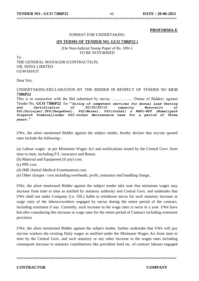#### **PROFORMA-E**

#### FORMAT FOR UNDERTAKING

**======================================================================**

#### **(IN TERMS OF TENDER NO. GCO 7386P22 )**

(On Non-Judicial Stamp Paper of Rs. 100/-) TO BE NOTORISED

To THE GENERAL MANAGER (CONTRACTS) PL OIL INDIA LIMITED GUWAHATI

Dear Sirs,

#### UNDERTAKING/DECLARATION BY THE BIDDER IN RESPECT OF TENDER NO **GCO 7386P22**

This is in connection with the Bid submitted by me/us, ………….... (Name of Bidder), against Tender No. **GCO 7386P22** for ""*Hiring of competent services for Annual Load Testing and Certification of 5T/3T/2T/1T capacity Monorails at PS1(Duliajan),TPS(Tengakhat), PS2(Moran), PS3(Jorhat) & NSPL-NDT (Numaligarh Dispatch Treminal)under PS3-Jorhat Maintenance base for a period of Three years***.***"*

I/We, the afore mentioned Bidder against the subject tender, hereby declare that my/our quoted rates include the following -

(a) Labour wages as per Minimum Wages Act and notifications issued by the Central Govt. from time to time, including P.F, insurance and Bonus.

- (b) Material and Equipment (if any) cost.
- (c) PPE cost.

(d) IME (Initial Medical Examination) cost.

(e) Other charges / cost including overheads, profit, insurance and handling charge..

I/We, the afore mentioned Bidder against the subject tender take note that minimum wages may increase from time to time as notified by statutory authority and Central Govt. and undertake that I/We shall not make Company (i.e. OIL) liable to reimburse me/us for such statutory increase in wage rates of the labours/workers engaged by me/us during the entire period of the contract, including extension if any. Currently, such increase in the wage rates is twice in a year. I/We have bid after considering this increase in wage rates for the entire period of Contract including extension provision.

I/We, the afore mentioned Bidder against the subject tender, further undertake that I/We will pay my/our workers the existing Daily wages as notified under the Minimum Wages Act from time to time by the Central Govt. and such statutory or any other increase in the wages rates including consequent increase in statutory contributions like provident fund etc. of contract labours engaged

**======================================================================**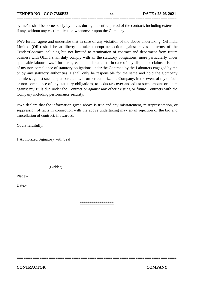**TENDER NO : GCO 7386P22** 44 **DATE : 28-06-2021**

by me/us shall be borne solely by me/us during the entire period of the contract, including extension if any, without any cost implication whatsoever upon the Company.

**======================================================================**

I/We further agree and undertake that in case of any violation of the above undertaking, Oil India Limited (OIL) shall be at liberty to take appropriate action against me/us in terms of the Tender/Contract including but not limited to termination of contract and debarment from future business with OIL. I shall duly comply with all the statutory obligations, more particularly under applicable labour laws. I further agree and undertake that in case of any dispute or claims arise out of my non-compliance of statutory obligations under the Contract, by the Labourers engaged by me or by any statutory authorities, I shall only be responsible for the same and hold the Company harmless against such dispute or claims. I further authorize the Company, in the event of my default or non-compliance of any statutory obligations, to deduct/recover and adjust such amount or claim against my Bills due under the Contract or against any other existing or future Contracts with the Company including performance security.

I/We declare that the information given above is true and any misstatement, misrepresentation, or suppression of facts in connection with the above undertaking may entail rejection of the bid and cancellation of contract, if awarded.

Yours faithfully,

1.Authorized Signatory with Seal

(Bidder)

\_\_\_\_\_\_\_\_\_\_\_\_\_\_\_\_\_\_\_\_\_\_\_\_\_\_\_\_\_\_\_\_\_\_

Place:-

Date:-

\*\*\*\*\*\*\*\*\*\*\*\*\*\*\*\*\*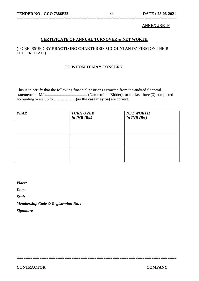#### **ANNEXURE -F**

#### **CERTIFICATE OF ANNUAL TURNOVER & NET WORTH**

**======================================================================**

#### **(**TO BE ISSUED BY **PRACTISING CHARTERED ACCOUNTANTS' FIRM** ON THEIR LETTER HEAD **)**

#### **TO WHOM IT MAY CONCERN**

This is to certify that the following financial positions extracted from the audited financial statements of M/s.......................................... (Name of the Bidder) for the last three (3) completed accounting years up to ……………..**(as the case may be)** are correct.

| <b>YEAR</b> | <b>TURN OVER</b> | <b>NET WORTH</b> |
|-------------|------------------|------------------|
|             | In $INR(Rs.)$    | In $INR(Rs.)$    |
|             |                  |                  |
|             |                  |                  |
|             |                  |                  |
|             |                  |                  |
|             |                  |                  |
|             |                  |                  |
|             |                  |                  |
|             |                  |                  |
|             |                  |                  |

**======================================================================** 

*Place:*

*Date:*

*Seal:*

*Membership Code & Registration No. :*

*Signature*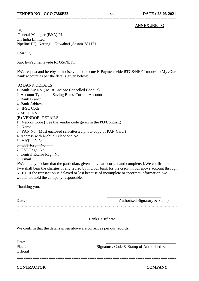#### **ANNEXURE - G**

To, General Manager (F&A) PL Oil India Limited Pipeline HQ, Narangi , Guwahati ,Assam-781171

Dear Sir,

Sub: E–Payments vide RTGS/NEFT

I/We request and hereby authorise you to execute E-Payment vide RTGS/NEFT modes to My /Our Bank account as per the details given below:

**======================================================================**

#### (A) BANK DETAILS

- 1. Bank A/c No. ( Must Enclose Cancelled Cheque)
- 2. Account Type Saving Bank/ Current Account
- 3. Bank Branch
- 4. Bank Address
- 5. IFSC Code
- 6. MICR No.

#### (B) VENDOR DETAILS :

- 1. Vendor Code ( See the vendor code given in the PO/Contract)
- 2. Name
- 3. PAN No. (Must enclosed self-attested photo copy of PAN Card )
- 4. Address with Mobile/Telephone No.
- 5. VAT TIN No.
- 6. CST Regn. No.
- 7. GST Regn. No.
- 8. Central Excise Regn.No.
- 9. Email ID

I/We hereby declare that the particulars given above are correct and complete. I/We confirm that I/we shall bear the charges, if any levied by my/our bank for the credit in our above account through NEFT. If the transaction is delayed or lost because of incomplete or incorrect information, we would not hold the company responsible.

Thanking you,

| Date:    | Authorised Signatory & Stamp |
|----------|------------------------------|
|          |                              |
| $\cdots$ |                              |

**======================================================================** 

#### Bank Certificate

We confirm that the details given above are correct as per our records.

Date: **Official** 

Place: Signature, Code & Stamp of Authorised Bank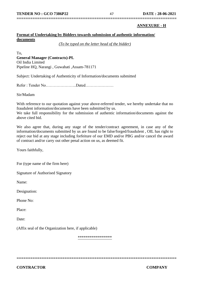## **======================================================================**

#### **ANNEXURE - H**

#### **Format of Undertaking by Bidders towards submission of authentic information/ documents**

*(To be typed on the letter head of the bidder)*

To, **General Manager (Contracts)-PL** Oil India Limited Pipeline HQ, Narangi , Guwahati ,Assam-781171

Subject: Undertaking of Authenticity of Information/documents submitted

Refer : Tender No…………………..Dated…………………

Sir/Madam

With reference to our quotation against your above-referred tender, we hereby undertake that no fraudulent information/documents have been submitted by us.

We take full responsibility for the submission of authentic information/documents against the above cited bid.

We also agree that, during any stage of the tender/contract agreement, in case any of the information/documents submitted by us are found to be false/forged/fraudulent , OIL has right to reject our bid at any stage including forfeiture of our EMD and/or PBG and/or cancel the award of contract and/or carry out other penal action on us, as deemed fit.

Yours faithfully,

For (type name of the firm here)

Signature of Authorised Signatory

Name:

Designation:

Phone No:

Place:

Date:

(Affix seal of the Organization here, if applicable)

\*\*\*\*\*\*\*\*\*\*\*\*\*\*\*\*\*